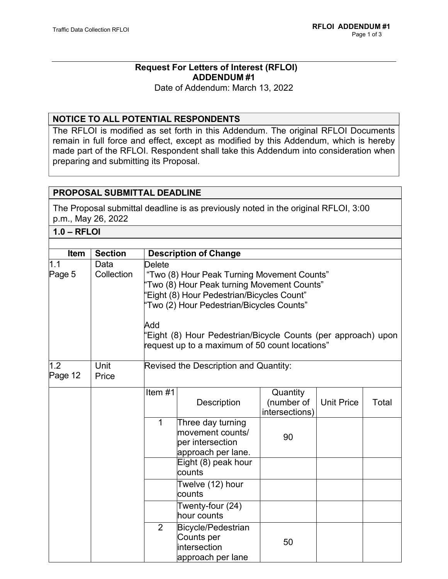# **Request For Letters of Interest (RFLOI) ADDENDUM #1**

Date of Addendum: March 13, 2022

# **NOTICE TO ALL POTENTIAL RESPONDENTS**

The RFLOI is modified as set forth in this Addendum. The original RFLOI Documents remain in full force and effect, except as modified by this Addendum, which is hereby made part of the RFLOI. Respondent shall take this Addendum into consideration when preparing and submitting its Proposal.

# **PROPOSAL SUBMITTAL DEADLINE**

The Proposal submittal deadline is as previously noted in the original RFLOI, 3:00 p.m., May 26, 2022

**1.0 – RFLOI**

| Item           | <b>Section</b> | <b>Description of Change</b>                                                                                                                                                          |                                                                                 |                                          |                   |       |
|----------------|----------------|---------------------------------------------------------------------------------------------------------------------------------------------------------------------------------------|---------------------------------------------------------------------------------|------------------------------------------|-------------------|-------|
| 1.1            | Data           | Delete                                                                                                                                                                                |                                                                                 |                                          |                   |       |
| Page 5         | Collection     | "Two (8) Hour Peak Turning Movement Counts"<br>"Two (8) Hour Peak turning Movement Counts"<br>'Eight (8) Hour Pedestrian/Bicycles Count"<br>'Two (2) Hour Pedestrian/Bicycles Counts" |                                                                                 |                                          |                   |       |
|                |                | Add<br>'Eight (8) Hour Pedestrian/Bicycle Counts (per approach) upon<br>request up to a maximum of 50 count locations"                                                                |                                                                                 |                                          |                   |       |
| 1.2<br>Page 12 | Unit<br>Price  | Revised the Description and Quantity:                                                                                                                                                 |                                                                                 |                                          |                   |       |
|                |                | Item $#1$                                                                                                                                                                             | <b>Description</b>                                                              | Quantity<br>(number of<br>intersections) | <b>Unit Price</b> | Total |
|                |                | 1                                                                                                                                                                                     | Three day turning<br>movement counts/<br>per intersection<br>approach per lane. | 90                                       |                   |       |
|                |                |                                                                                                                                                                                       | Eight (8) peak hour<br>counts                                                   |                                          |                   |       |
|                |                |                                                                                                                                                                                       | Twelve (12) hour<br>counts                                                      |                                          |                   |       |
|                |                |                                                                                                                                                                                       | Twenty-four (24)<br>hour counts                                                 |                                          |                   |       |
|                |                | $\overline{2}$                                                                                                                                                                        | Bicycle/Pedestrian<br>Counts per<br>intersection<br>approach per lane           | 50                                       |                   |       |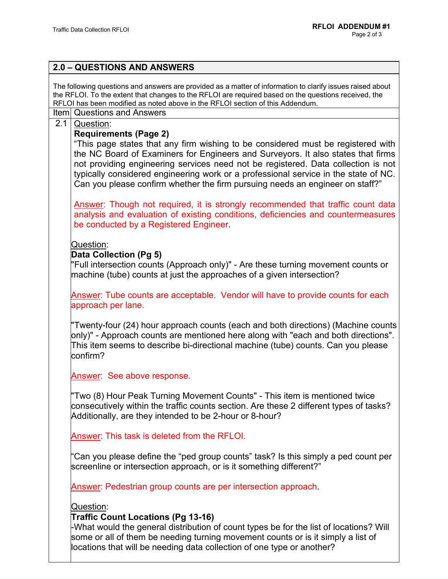| 2.0 - QUESTIONS AND ANSWERS                                                                                                                                                                                                                                                                                                                                                                                                                                                           |
|---------------------------------------------------------------------------------------------------------------------------------------------------------------------------------------------------------------------------------------------------------------------------------------------------------------------------------------------------------------------------------------------------------------------------------------------------------------------------------------|
| The following questions and answers are provided as a matter of information to clarify issues raised about<br>the RFLOI. To the extent that changes to the RFLOI are required based on the questions received, the<br>RFLOI has been modified as noted above in the RFLOI section of this Addendum.                                                                                                                                                                                   |
| Item Questions and Answers                                                                                                                                                                                                                                                                                                                                                                                                                                                            |
| 2.1<br>Question:<br><b>Requirements (Page 2)</b><br>"This page states that any firm wishing to be considered must be registered with<br>the NC Board of Examiners for Engineers and Surveyors. It also states that firms<br>not providing engineering services need not be registered. Data collection is not<br>typically considered engineering work or a professional service in the state of NC.<br>Can you please confirm whether the firm pursuing needs an engineer on staff?" |
| Answer: Though not required, it is strongly recommended that traffic count data<br>analysis and evaluation of existing conditions, deficiencies and countermeasures<br>be conducted by a Registered Engineer.                                                                                                                                                                                                                                                                         |
| Question:<br>Data Collection (Pg 5)<br>"Full intersection counts (Approach only)" - Are these turning movement counts or<br>machine (tube) counts at just the approaches of a given intersection?                                                                                                                                                                                                                                                                                     |
| Answer: Tube counts are acceptable. Vendor will have to provide counts for each<br>approach per lane.                                                                                                                                                                                                                                                                                                                                                                                 |
| "Twenty-four (24) hour approach counts (each and both directions) (Machine counts<br>only)" - Approach counts are mentioned here along with "each and both directions".<br>This item seems to describe bi-directional machine (tube) counts. Can you please<br>confirm?                                                                                                                                                                                                               |
| Answer: See above response.                                                                                                                                                                                                                                                                                                                                                                                                                                                           |
| "Two (8) Hour Peak Turning Movement Counts" - This item is mentioned twice<br>consecutively within the traffic counts section. Are these 2 different types of tasks?<br>Additionally, are they intended to be 2-hour or 8-hour?                                                                                                                                                                                                                                                       |
| Answer: This task is deleted from the RFLOI.                                                                                                                                                                                                                                                                                                                                                                                                                                          |
| "Can you please define the "ped group counts" task? Is this simply a ped count per<br>screenline or intersection approach, or is it something different?"                                                                                                                                                                                                                                                                                                                             |
| Answer: Pedestrian group counts are per intersection approach.                                                                                                                                                                                                                                                                                                                                                                                                                        |
| Question:                                                                                                                                                                                                                                                                                                                                                                                                                                                                             |
| <b>Traffic Count Locations (Pg 13-16)</b><br>-What would the general distribution of count types be for the list of locations? Will<br>some or all of them be needing turning movement counts or is it simply a list of<br>locations that will be needing data collection of one type or another?                                                                                                                                                                                     |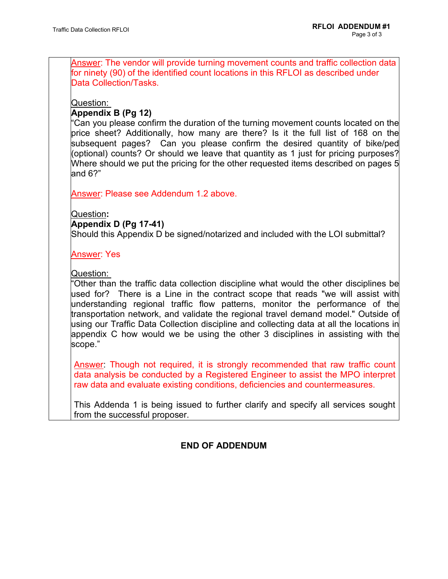Answer: The vendor will provide turning movement counts and traffic collection data for ninety (90) of the identified count locations in this RFLOI as described under Data Collection/Tasks.

Question:

# **Appendix B (Pg 12)**

"Can you please confirm the duration of the turning movement counts located on the price sheet? Additionally, how many are there? Is it the full list of 168 on the subsequent pages? Can you please confirm the desired quantity of bike/ped (optional) counts? Or should we leave that quantity as 1 just for pricing purposes? Where should we put the pricing for the other requested items described on pages 5 and 6?"

Answer: Please see Addendum 1.2 above.

Question**:**

### **Appendix D (Pg 17-41)**

Should this Appendix D be signed/notarized and included with the LOI submittal?

Answer: Yes

# Question:

"Other than the traffic data collection discipline what would the other disciplines be used for? There is a Line in the contract scope that reads "we will assist with understanding regional traffic flow patterns, monitor the performance of the transportation network, and validate the regional travel demand model." Outside of using our Traffic Data Collection discipline and collecting data at all the locations in appendix C how would we be using the other 3 disciplines in assisting with the scope."

Answer: Though not required, it is strongly recommended that raw traffic count data analysis be conducted by a Registered Engineer to assist the MPO interpret raw data and evaluate existing conditions, deficiencies and countermeasures.

This Addenda 1 is being issued to further clarify and specify all services sought from the successful proposer.

# **END OF ADDENDUM**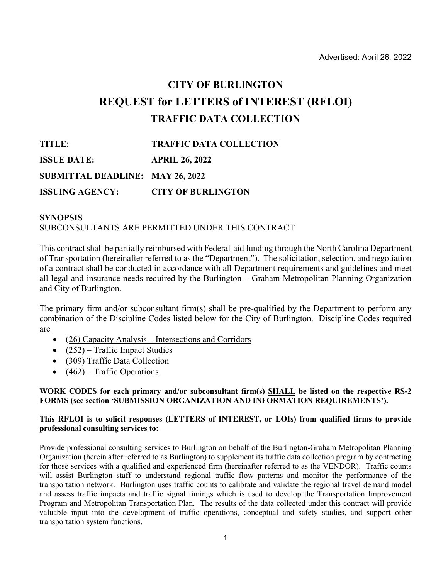# **CITY OF BURLINGTON REQUEST for LETTERS of INTEREST (RFLOI) TRAFFIC DATA COLLECTION**

| TITLE:                                  | <b>TRAFFIC DATA COLLECTION</b> |
|-----------------------------------------|--------------------------------|
| <b>ISSUE DATE:</b>                      | <b>APRIL 26, 2022</b>          |
| <b>SUBMITTAL DEADLINE: MAY 26, 2022</b> |                                |
| <b>ISSUING AGENCY:</b>                  | <b>CITY OF BURLINGTON</b>      |

#### **SYNOPSIS** SUBCONSULTANTS ARE PERMITTED UNDER THIS CONTRACT

This contract shall be partially reimbursed with Federal-aid funding through the North Carolina Department of Transportation (hereinafter referred to as the "Department"). The solicitation, selection, and negotiation of a contract shall be conducted in accordance with all Department requirements and guidelines and meet all legal and insurance needs required by the Burlington – Graham Metropolitan Planning Organization and City of Burlington.

The primary firm and/or subconsultant firm(s) shall be pre-qualified by the Department to perform any combination of the Discipline Codes listed below for the City of Burlington. Discipline Codes required are

- (26) Capacity Analysis Intersections and Corridors
- $(252)$  Traffic Impact Studies
- (309) Traffic Data Collection
- $(462)$  Traffic Operations

#### **WORK CODES for each primary and/or subconsultant firm(s) SHALL be listed on the respective RS-2 FORMS (see section 'SUBMISSION ORGANIZATION AND INFORMATION REQUIREMENTS').**

#### **This RFLOI is to solicit responses (LETTERS of INTEREST, or LOIs) from qualified firms to provide professional consulting services to:**

Provide professional consulting services to Burlington on behalf of the Burlington-Graham Metropolitan Planning Organization (herein after referred to as Burlington) to supplement its traffic data collection program by contracting for those services with a qualified and experienced firm (hereinafter referred to as the VENDOR). Traffic counts will assist Burlington staff to understand regional traffic flow patterns and monitor the performance of the transportation network. Burlington uses traffic counts to calibrate and validate the regional travel demand model and assess traffic impacts and traffic signal timings which is used to develop the Transportation Improvement Program and Metropolitan Transportation Plan. The results of the data collected under this contract will provide valuable input into the development of traffic operations, conceptual and safety studies, and support other transportation system functions.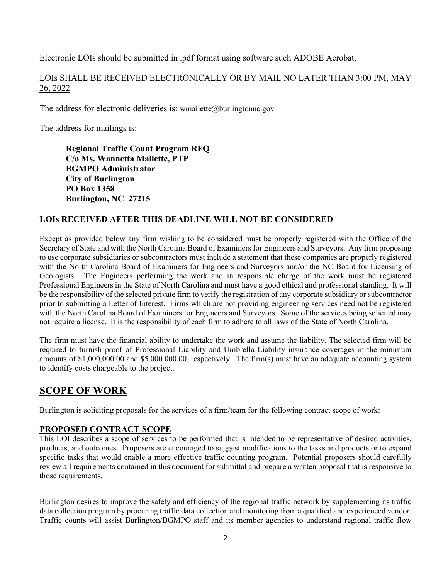### Electronic LOIs should be submitted in .pdf format using software such ADOBE Acrobat.

LOIs SHALL BE RECEIVED ELECTRONICALLY OR BY MAIL NO LATER THAN 3:00 PM, MAY 26, 2022

The address for electronic deliveries is: [wmallette@burlingtonnc.gov](mailto:wmallette@burlingtonnc.gov)

The address for mailings is:

**Regional Traffic Count Program RFQ C/o Ms. Wannetta Mallette, PTP BGMPO Administrator City of Burlington PO Box 1358 Burlington, NC 27215**

### **LOIs RECEIVED AFTER THIS DEADLINE WILL NOT BE CONSIDERED**.

Except as provided below any firm wishing to be considered must be properly registered with the Office of the Secretary of State and with the North Carolina Board of Examiners for Engineers and Surveyors. Any firm proposing to use corporate subsidiaries or subcontractors must include a statement that these companies are properly registered with the North Carolina Board of Examiners for Engineers and Surveyors and/or the NC Board for Licensing of Geologists. The Engineers performing the work and in responsible charge of the work must be registered Professional Engineers in the State of North Carolina and must have a good ethical and professional standing. It will be the responsibility of the selected private firm to verify the registration of any corporate subsidiary or subcontractor prior to submitting a Letter of Interest. Firms which are not providing engineering services need not be registered with the North Carolina Board of Examiners for Engineers and Surveyors. Some of the services being solicited may not require a license. It is the responsibility of each firm to adhere to all laws of the State of North Carolina.

The firm must have the financial ability to undertake the work and assume the liability. The selected firm will be required to furnish proof of Professional Liability and Umbrella Liability insurance coverages in the minimum amounts of \$1,000,000.00 and \$5,000,000.00, respectively. The firm(s) must have an adequate accounting system to identify costs chargeable to the project.

# **SCOPE OF WORK**

Burlington is soliciting proposals for the services of a firm/team for the following contract scope of work:

# **PROPOSED CONTRACT SCOPE**

This LOI describes a scope of services to be performed that is intended to be representative of desired activities, products, and outcomes. Proposers are encouraged to suggest modifications to the tasks and products or to expand specific tasks that would enable a more effective traffic counting program. Potential proposers should carefully review all requirements contained in this document for submittal and prepare a written proposal that is responsive to those requirements.

Burlington desires to improve the safety and efficiency of the regional traffic network by supplementing its traffic data collection program by procuring traffic data collection and monitoring from a qualified and experienced vendor. Traffic counts will assist Burlington/BGMPO staff and its member agencies to understand regional traffic flow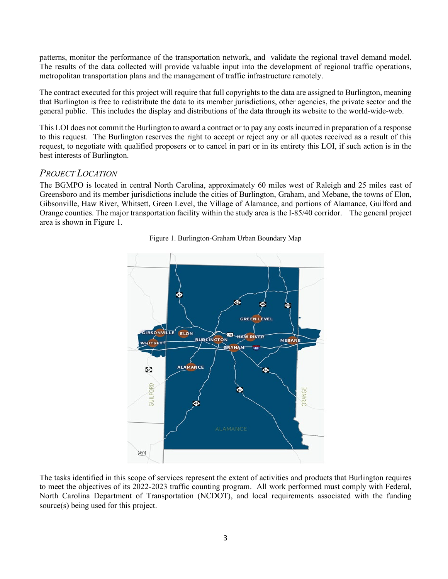patterns, monitor the performance of the transportation network, and validate the regional travel demand model. The results of the data collected will provide valuable input into the development of regional traffic operations, metropolitan transportation plans and the management of traffic infrastructure remotely.

The contract executed for this project will require that full copyrights to the data are assigned to Burlington, meaning that Burlington is free to redistribute the data to its member jurisdictions, other agencies, the private sector and the general public. This includes the display and distributions of the data through its website to the world-wide-web.

This LOI does not commit the Burlington to award a contract or to pay any costs incurred in preparation of a response to this request. The Burlington reserves the right to accept or reject any or all quotes received as a result of this request, to negotiate with qualified proposers or to cancel in part or in its entirety this LOI, if such action is in the best interests of Burlington.

# *PROJECT LOCATION*

The BGMPO is located in central North Carolina, approximately 60 miles west of Raleigh and 25 miles east of Greensboro and its member jurisdictions include the cities of Burlington, Graham, and Mebane, the towns of Elon, Gibsonville, Haw River, Whitsett, Green Level, the Village of Alamance, and portions of Alamance, Guilford and Orange counties. The major transportation facility within the study area is the I-85/40 corridor. The general project area is shown in Figure 1.



Figure 1. Burlington-Graham Urban Boundary Map

The tasks identified in this scope of services represent the extent of activities and products that Burlington requires to meet the objectives of its 2022-2023 traffic counting program. All work performed must comply with Federal, North Carolina Department of Transportation (NCDOT), and local requirements associated with the funding source(s) being used for this project.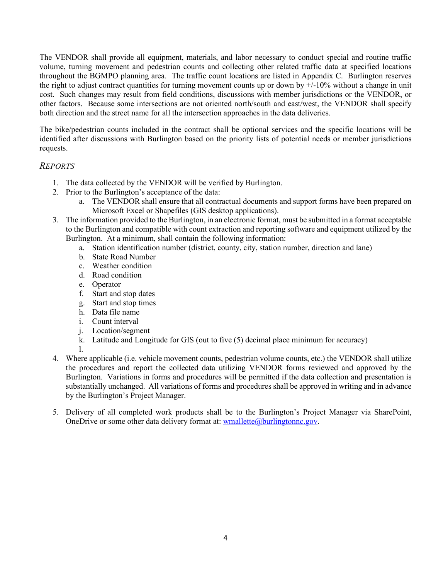The VENDOR shall provide all equipment, materials, and labor necessary to conduct special and routine traffic volume, turning movement and pedestrian counts and collecting other related traffic data at specified locations throughout the BGMPO planning area. The traffic count locations are listed in Appendix C. Burlington reserves the right to adjust contract quantities for turning movement counts up or down by  $\frac{1}{2}$ -10% without a change in unit cost. Such changes may result from field conditions, discussions with member jurisdictions or the VENDOR, or other factors. Because some intersections are not oriented north/south and east/west, the VENDOR shall specify both direction and the street name for all the intersection approaches in the data deliveries.

The bike/pedestrian counts included in the contract shall be optional services and the specific locations will be identified after discussions with Burlington based on the priority lists of potential needs or member jurisdictions requests.

### *REPORTS*

- 1. The data collected by the VENDOR will be verified by Burlington.
- 2. Prior to the Burlington's acceptance of the data:
	- a. The VENDOR shall ensure that all contractual documents and support forms have been prepared on Microsoft Excel or Shapefiles (GIS desktop applications).
- 3. The information provided to the Burlington, in an electronic format, must be submitted in a format acceptable to the Burlington and compatible with count extraction and reporting software and equipment utilized by the Burlington. At a minimum, shall contain the following information:
	- a. Station identification number (district, county, city, station number, direction and lane)
	- b. State Road Number
	- c. Weather condition
	- d. Road condition
	- e. Operator
	- f. Start and stop dates
	- g. Start and stop times
	- h. Data file name
	- i. Count interval
	- j. Location/segment
	- k. Latitude and Longitude for GIS (out to five (5) decimal place minimum for accuracy)
	- l.
- 4. Where applicable (i.e. vehicle movement counts, pedestrian volume counts, etc.) the VENDOR shall utilize the procedures and report the collected data utilizing VENDOR forms reviewed and approved by the Burlington. Variations in forms and procedures will be permitted if the data collection and presentation is substantially unchanged. All variations of forms and procedures shall be approved in writing and in advance by the Burlington's Project Manager.
- 5. Delivery of all completed work products shall be to the Burlington's Project Manager via SharePoint, OneDrive or some other data delivery format at: [wmallette@burlingtonnc.gov.](mailto:wmallette@burlingtonnc.gov)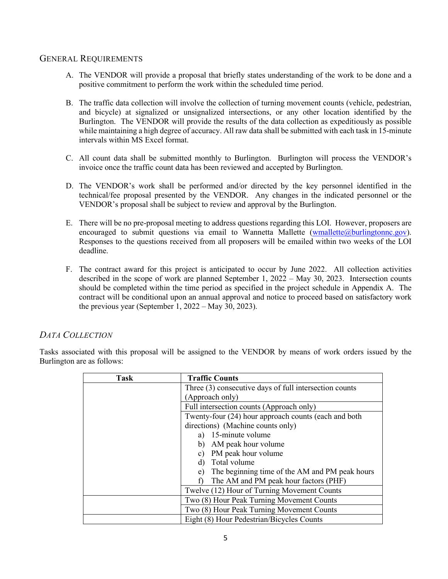### GENERAL REQUIREMENTS

- A. The VENDOR will provide a proposal that briefly states understanding of the work to be done and a positive commitment to perform the work within the scheduled time period.
- B. The traffic data collection will involve the collection of turning movement counts (vehicle, pedestrian, and bicycle) at signalized or unsignalized intersections, or any other location identified by the Burlington. The VENDOR will provide the results of the data collection as expeditiously as possible while maintaining a high degree of accuracy. All raw data shall be submitted with each task in 15-minute intervals within MS Excel format.
- C. All count data shall be submitted monthly to Burlington. Burlington will process the VENDOR's invoice once the traffic count data has been reviewed and accepted by Burlington.
- D. The VENDOR's work shall be performed and/or directed by the key personnel identified in the technical/fee proposal presented by the VENDOR. Any changes in the indicated personnel or the VENDOR's proposal shall be subject to review and approval by the Burlington.
- E. There will be no pre-proposal meeting to address questions regarding this LOI. However, proposers are encouraged to submit questions via email to Wannetta Mallette [\(wmallette@burlingtonnc.gov\)](mailto:wmallette@burlingtonnc.gov). Responses to the questions received from all proposers will be emailed within two weeks of the LOI deadline.
- F. The contract award for this project is anticipated to occur by June 2022. All collection activities described in the scope of work are planned September 1, 2022 – May 30, 2023. Intersection counts should be completed within the time period as specified in the project schedule in Appendix A. The contract will be conditional upon an annual approval and notice to proceed based on satisfactory work the previous year (September 1,  $2022 - May 30, 2023$ ).

# *DATA COLLECTION*

Tasks associated with this proposal will be assigned to the VENDOR by means of work orders issued by the Burlington are as follows:

| <b>Task</b> | <b>Traffic Counts</b>                                  |  |  |
|-------------|--------------------------------------------------------|--|--|
|             | Three (3) consecutive days of full intersection counts |  |  |
|             | (Approach only)                                        |  |  |
|             | Full intersection counts (Approach only)               |  |  |
|             | Twenty-four (24) hour approach counts (each and both   |  |  |
|             | directions) (Machine counts only)                      |  |  |
|             | 15-minute volume<br>a)                                 |  |  |
|             | AM peak hour volume<br>b)                              |  |  |
|             | PM peak hour volume<br>$\mathbf{c}$ )                  |  |  |
|             | Total volume<br>d)                                     |  |  |
|             | The beginning time of the AM and PM peak hours<br>e)   |  |  |
|             | The AM and PM peak hour factors (PHF)                  |  |  |
|             | Twelve (12) Hour of Turning Movement Counts            |  |  |
|             | Two (8) Hour Peak Turning Movement Counts              |  |  |
|             | Two (8) Hour Peak Turning Movement Counts              |  |  |
|             | Eight (8) Hour Pedestrian/Bicycles Counts              |  |  |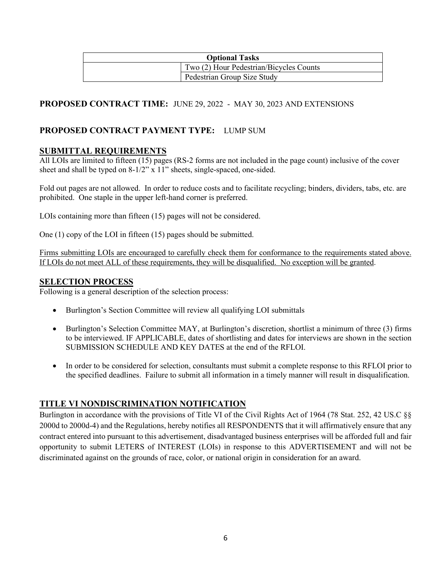| <b>Optional Tasks</b> |                                         |  |
|-----------------------|-----------------------------------------|--|
|                       | Two (2) Hour Pedestrian/Bicycles Counts |  |
|                       | Pedestrian Group Size Study             |  |

# **PROPOSED CONTRACT TIME:** JUNE 29, 2022 - MAY 30, 2023 AND EXTENSIONS

# **PROPOSED CONTRACT PAYMENT TYPE:** LUMP SUM

### **SUBMITTAL REQUIREMENTS**

All LOIs are limited to fifteen (15) pages (RS-2 forms are not included in the page count) inclusive of the cover sheet and shall be typed on  $8-1/2$ " x 11" sheets, single-spaced, one-sided.

Fold out pages are not allowed. In order to reduce costs and to facilitate recycling; binders, dividers, tabs, etc. are prohibited. One staple in the upper left-hand corner is preferred.

LOIs containing more than fifteen (15) pages will not be considered.

One (1) copy of the LOI in fifteen (15) pages should be submitted.

Firms submitting LOIs are encouraged to carefully check them for conformance to the requirements stated above. If LOIs do not meet ALL of these requirements, they will be disqualified. No exception will be granted.

#### **SELECTION PROCESS**

Following is a general description of the selection process:

- Burlington's Section Committee will review all qualifying LOI submittals
- Burlington's Selection Committee MAY, at Burlington's discretion, shortlist a minimum of three (3) firms to be interviewed. IF APPLICABLE, dates of shortlisting and dates for interviews are shown in the section SUBMISSION SCHEDULE AND KEY DATES at the end of the RFLOI.
- In order to be considered for selection, consultants must submit a complete response to this RFLOI prior to the specified deadlines. Failure to submit all information in a timely manner will result in disqualification.

# **TITLE VI NONDISCRIMINATION NOTIFICATION**

Burlington in accordance with the provisions of Title VI of the Civil Rights Act of 1964 (78 Stat. 252, 42 US.C §§ 2000d to 2000d-4) and the Regulations, hereby notifies all RESPONDENTS that it will affirmatively ensure that any contract entered into pursuant to this advertisement, disadvantaged business enterprises will be afforded full and fair opportunity to submit LETERS of INTEREST (LOIs) in response to this ADVERTISEMENT and will not be discriminated against on the grounds of race, color, or national origin in consideration for an award.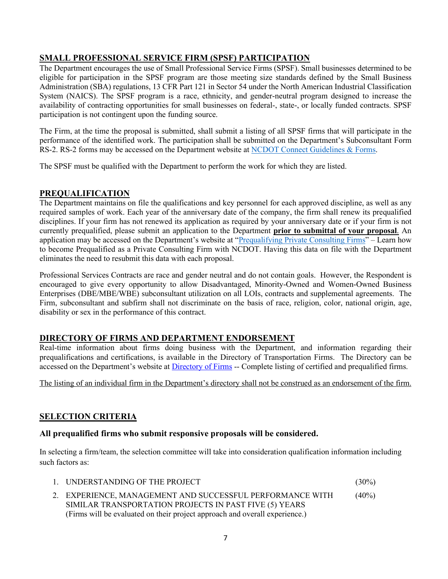# **SMALL PROFESSIONAL SERVICE FIRM (SPSF) PARTICIPATION**

The Department encourages the use of Small Professional Service Firms (SPSF). Small businesses determined to be eligible for participation in the SPSF program are those meeting size standards defined by the Small Business Administration (SBA) regulations, 13 CFR Part 121 in Sector 54 under the North American Industrial Classification System (NAICS). The SPSF program is a race, ethnicity, and gender-neutral program designed to increase the availability of contracting opportunities for small businesses on federal-, state-, or locally funded contracts. SPSF participation is not contingent upon the funding source.

The Firm, at the time the proposal is submitted, shall submit a listing of all SPSF firms that will participate in the performance of the identified work. The participation shall be submitted on the Department's Subconsultant Form RS-2. RS-2 forms may be accessed on the Department website at [NCDOT Connect Guidelines & Forms.](https://connect.ncdot.gov/business/consultants/Pages/Guidelines-Forms.aspx)

The SPSF must be qualified with the Department to perform the work for which they are listed.

### **PREQUALIFICATION**

The Department maintains on file the qualifications and key personnel for each approved discipline, as well as any required samples of work. Each year of the anniversary date of the company, the firm shall renew its prequalified disciplines. If your firm has not renewed its application as required by your anniversary date or if your firm is not currently prequalified, please submit an application to the Department **prior to submittal of your proposal**. An application may be accessed on the Department's website at ["Prequalifying Private Consulting Firms"](https://connect.ncdot.gov/business/Prequal/Pages/Private-Consulting-Firm.aspx) – Learn how to become Prequalified as a Private Consulting Firm with NCDOT. Having this data on file with the Department eliminates the need to resubmit this data with each proposal.

Professional Services Contracts are race and gender neutral and do not contain goals. However, the Respondent is encouraged to give every opportunity to allow Disadvantaged, Minority-Owned and Women-Owned Business Enterprises (DBE/MBE/WBE) subconsultant utilization on all LOIs, contracts and supplemental agreements. The Firm, subconsultant and subfirm shall not discriminate on the basis of race, religion, color, national origin, age, disability or sex in the performance of this contract.

# **DIRECTORY OF FIRMS AND DEPARTMENT ENDORSEMENT**

Real-time information about firms doing business with the Department, and information regarding their prequalifications and certifications, is available in the Directory of Transportation Firms. The Directory can be accessed on the Department's website at [Directory of Firms](https://www.ebs.nc.gov/VendorDirectory/default.html) -- Complete listing of certified and prequalified firms.

The listing of an individual firm in the Department's directory shall not be construed as an endorsement of the firm.

# **SELECTION CRITERIA**

### **All prequalified firms who submit responsive proposals will be considered.**

In selecting a firm/team, the selection committee will take into consideration qualification information including such factors as:

|  | UNDERSTANDING OF THE PROJECT | $(30\%)$ |
|--|------------------------------|----------|
|--|------------------------------|----------|

2. EXPERIENCE, MANAGEMENT AND SUCCESSFUL PERFORMANCE WITH (40%) SIMILAR TRANSPORTATION PROJECTS IN PAST FIVE (5) YEARS (Firms will be evaluated on their project approach and overall experience.)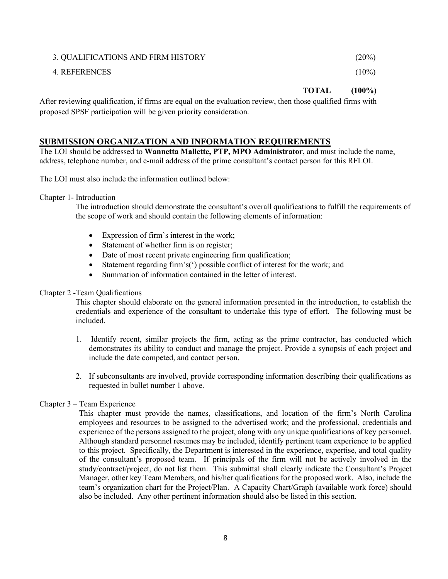# 3. QUALIFICATIONS AND FIRM HISTORY (20%) 4. REFERENCES (10%)

**TOTAL (100%)** 

After reviewing qualification, if firms are equal on the evaluation review, then those qualified firms with proposed SPSF participation will be given priority consideration.

### **SUBMISSION ORGANIZATION AND INFORMATION REQUIREMENTS**

The LOI should be addressed to **Wannetta Mallette, PTP, MPO Administrator**, and must include the name, address, telephone number, and e-mail address of the prime consultant's contact person for this RFLOI.

The LOI must also include the information outlined below:

Chapter 1- Introduction

The introduction should demonstrate the consultant's overall qualifications to fulfill the requirements of the scope of work and should contain the following elements of information:

- Expression of firm's interest in the work;
- Statement of whether firm is on register;
- Date of most recent private engineering firm qualification;
- Statement regarding firm's(') possible conflict of interest for the work; and
- Summation of information contained in the letter of interest.

#### Chapter 2 -Team Qualifications

This chapter should elaborate on the general information presented in the introduction, to establish the credentials and experience of the consultant to undertake this type of effort. The following must be included.

- 1. Identify recent, similar projects the firm, acting as the prime contractor, has conducted which demonstrates its ability to conduct and manage the project. Provide a synopsis of each project and include the date competed, and contact person.
- 2. If subconsultants are involved, provide corresponding information describing their qualifications as requested in bullet number 1 above.

#### Chapter 3 – Team Experience

This chapter must provide the names, classifications, and location of the firm's North Carolina employees and resources to be assigned to the advertised work; and the professional, credentials and experience of the persons assigned to the project, along with any unique qualifications of key personnel. Although standard personnel resumes may be included, identify pertinent team experience to be applied to this project. Specifically, the Department is interested in the experience, expertise, and total quality of the consultant's proposed team. If principals of the firm will not be actively involved in the study/contract/project, do not list them. This submittal shall clearly indicate the Consultant's Project Manager, other key Team Members, and his/her qualifications for the proposed work. Also, include the team's organization chart for the Project/Plan. A Capacity Chart/Graph (available work force) should also be included. Any other pertinent information should also be listed in this section.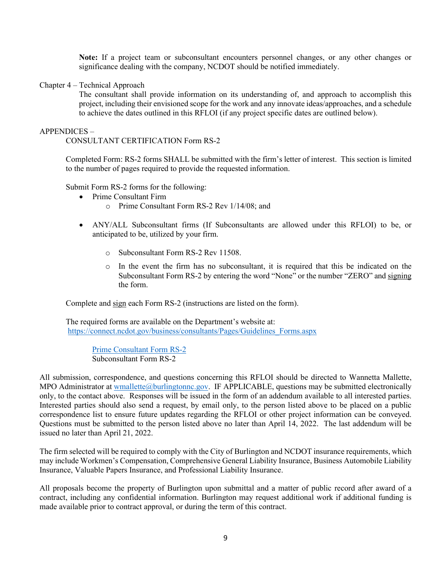**Note:** If a project team or subconsultant encounters personnel changes, or any other changes or significance dealing with the company, NCDOT should be notified immediately.

Chapter 4 – Technical Approach

The consultant shall provide information on its understanding of, and approach to accomplish this project, including their envisioned scope for the work and any innovate ideas/approaches, and a schedule to achieve the dates outlined in this RFLOI (if any project specific dates are outlined below).

#### APPENDICES –

CONSULTANT CERTIFICATION Form RS-2

Completed Form: RS-2 forms SHALL be submitted with the firm's letter of interest. This section is limited to the number of pages required to provide the requested information.

Submit Form RS-2 forms for the following:

- Prime Consultant Firm
	- o Prime Consultant Form RS-2 Rev 1/14/08; and
- ANY/ALL Subconsultant firms (If Subconsultants are allowed under this RFLOI) to be, or anticipated to be, utilized by your firm.
	- o Subconsultant Form RS-2 Rev 11508.
	- o In the event the firm has no subconsultant, it is required that this be indicated on the Subconsultant Form RS-2 by entering the word "None" or the number "ZERO" and signing the form.

Complete and sign each Form RS-2 (instructions are listed on the form).

The required forms are available on the Department's website at: [https://connect.ncdot.gov/business/consultants/Pages/Guidelines\\_Forms.aspx](https://connect.ncdot.gov/business/consultants/Pages/Guidelines_Forms.aspx)

> [Prime Consultant](mailto:https://connect.ncdot.gov/business/Turnpike/NCTA%20Documents/Form%20RS-2%20Prime%20Contractor.pdf) Form RS-2 Subconsultant Form RS-2

All submission, correspondence, and questions concerning this RFLOI should be directed to Wannetta Mallette, MPO Administrator a[t wmallette@burlingtonnc.gov.](mailto:wmallette@burlingtonnc.gov) IF APPLICABLE, questions may be submitted electronically only, to the contact above. Responses will be issued in the form of an addendum available to all interested parties. Interested parties should also send a request, by email only, to the person listed above to be placed on a public correspondence list to ensure future updates regarding the RFLOI or other project information can be conveyed. Questions must be submitted to the person listed above no later than April 14, 2022. The last addendum will be issued no later than April 21, 2022.

The firm selected will be required to comply with the City of Burlington and NCDOT insurance requirements, which may include Workmen's Compensation, Comprehensive General Liability Insurance, Business Automobile Liability Insurance, Valuable Papers Insurance, and Professional Liability Insurance.

All proposals become the property of Burlington upon submittal and a matter of public record after award of a contract, including any confidential information. Burlington may request additional work if additional funding is made available prior to contract approval, or during the term of this contract.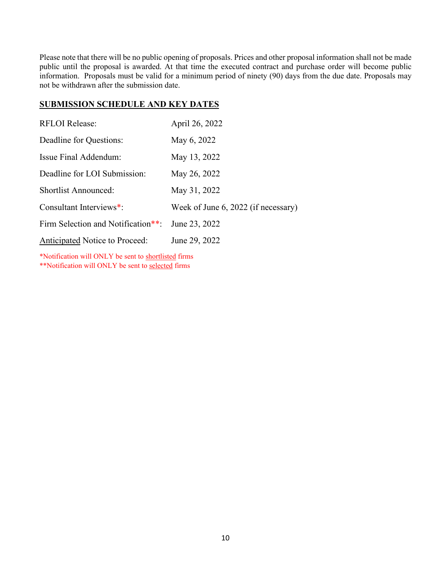Please note that there will be no public opening of proposals. Prices and other proposal information shall not be made public until the proposal is awarded. At that time the executed contract and purchase order will become public information. Proposals must be valid for a minimum period of ninety (90) days from the due date. Proposals may not be withdrawn after the submission date.

### **SUBMISSION SCHEDULE AND KEY DATES**

| <b>RFLOI Release:</b>                 | April 26, 2022                      |
|---------------------------------------|-------------------------------------|
| Deadline for Questions:               | May 6, 2022                         |
| Issue Final Addendum:                 | May 13, 2022                        |
| Deadline for LOI Submission:          | May 26, 2022                        |
| <b>Shortlist Announced:</b>           | May 31, 2022                        |
| Consultant Interviews*:               | Week of June 6, 2022 (if necessary) |
| Firm Selection and Notification**:    | June 23, 2022                       |
| <b>Anticipated Notice to Proceed:</b> | June 29, 2022                       |
|                                       |                                     |

\*Notification will ONLY be sent to shortlisted firms \*\*Notification will ONLY be sent to selected firms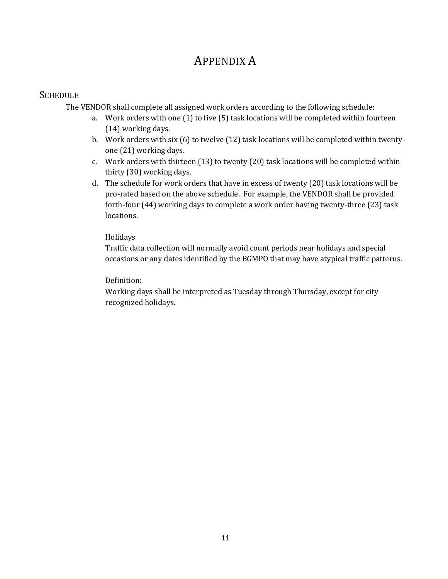# APPENDIX A

# **SCHEDULE**

The VENDOR shall complete all assigned work orders according to the following schedule:

- a. Work orders with one (1) to five (5) task locations will be completed within fourteen (14) working days.
- b. Work orders with six (6) to twelve (12) task locations will be completed within twentyone (21) working days.
- c. Work orders with thirteen (13) to twenty (20) task locations will be completed within thirty (30) working days.
- d. The schedule for work orders that have in excess of twenty (20) task locations will be pro-rated based on the above schedule. For example, the VENDOR shall be provided forth-four (44) working days to complete a work order having twenty-three (23) task locations.

### Holidays

Traffic data collection will normally avoid count periods near holidays and special occasions or any dates identified by the BGMPO that may have atypical traffic patterns.

### Definition:

Working days shall be interpreted as Tuesday through Thursday, except for city recognized holidays.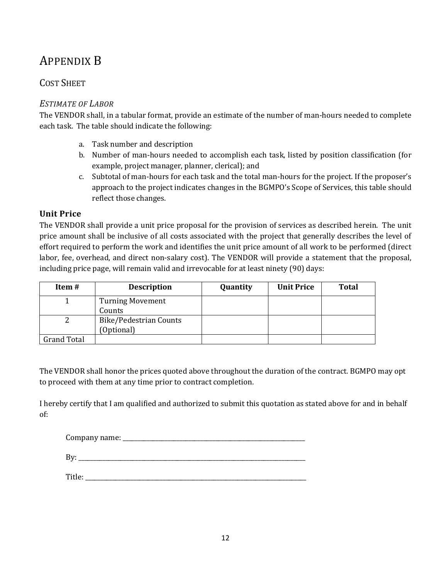# APPENDIX B

# COST SHEET

# *ESTIMATE OF LABOR*

The VENDOR shall, in a tabular format, provide an estimate of the number of man-hours needed to complete each task. The table should indicate the following:

- a. Task number and description
- b. Number of man-hours needed to accomplish each task, listed by position classification (for example, project manager, planner, clerical); and
- c. Subtotal of man-hours for each task and the total man-hours for the project. If the proposer's approach to the project indicates changes in the BGMPO's Scope of Services, this table should reflect those changes.

# **Unit Price**

The VENDOR shall provide a unit price proposal for the provision of services as described herein. The unit price amount shall be inclusive of all costs associated with the project that generally describes the level of effort required to perform the work and identifies the unit price amount of all work to be performed (direct labor, fee, overhead, and direct non-salary cost). The VENDOR will provide a statement that the proposal, including price page, will remain valid and irrevocable for at least ninety (90) days:

| Item#              | <b>Description</b>                   | Quantity | <b>Unit Price</b> | <b>Total</b> |
|--------------------|--------------------------------------|----------|-------------------|--------------|
|                    | <b>Turning Movement</b><br>Counts    |          |                   |              |
|                    | Bike/Pedestrian Counts<br>(Optional) |          |                   |              |
| <b>Grand Total</b> |                                      |          |                   |              |

The VENDOR shall honor the prices quoted above throughout the duration of the contract. BGMPO may opt to proceed with them at any time prior to contract completion.

I hereby certify that I am qualified and authorized to submit this quotation as stated above for and in behalf of:

| Company name: |  |  |  |
|---------------|--|--|--|
|               |  |  |  |
|               |  |  |  |

By: \_\_\_\_\_\_\_\_\_\_\_\_\_\_\_\_\_\_\_\_\_\_\_\_\_\_\_\_\_\_\_\_\_\_\_\_\_\_\_\_\_\_\_\_\_\_\_\_\_\_\_\_\_\_\_\_\_\_\_\_\_\_\_\_\_\_\_\_\_\_\_\_\_\_\_\_

Title: \_\_\_\_\_\_\_\_\_\_\_\_\_\_\_\_\_\_\_\_\_\_\_\_\_\_\_\_\_\_\_\_\_\_\_\_\_\_\_\_\_\_\_\_\_\_\_\_\_\_\_\_\_\_\_\_\_\_\_\_\_\_\_\_\_\_\_\_\_\_\_\_\_\_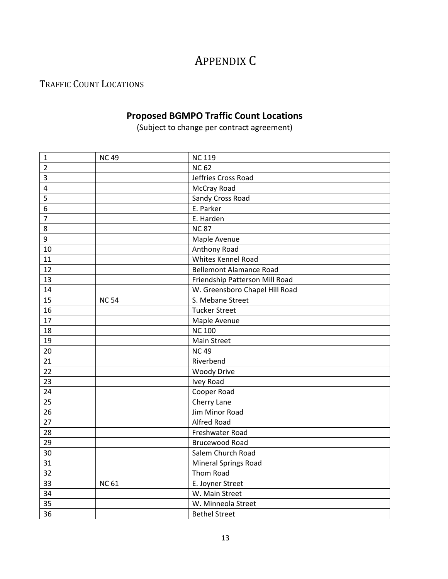# APPENDIX C

# TRAFFIC COUNT LOCATIONS

# **Proposed BGMPO Traffic Count Locations**

(Subject to change per contract agreement)

| $\mathbf{1}$     | <b>NC49</b>  | <b>NC 119</b>                  |
|------------------|--------------|--------------------------------|
| $\overline{2}$   |              | <b>NC 62</b>                   |
| $\overline{3}$   |              | Jeffries Cross Road            |
| 4                |              | McCray Road                    |
| 5                |              | Sandy Cross Road               |
| 6                |              | E. Parker                      |
| $\overline{7}$   |              | E. Harden                      |
| 8                |              | <b>NC87</b>                    |
| $\boldsymbol{9}$ |              | Maple Avenue                   |
| 10               |              | Anthony Road                   |
| 11               |              | Whites Kennel Road             |
| 12               |              | <b>Bellemont Alamance Road</b> |
| 13               |              | Friendship Patterson Mill Road |
| 14               |              | W. Greensboro Chapel Hill Road |
| 15               | <b>NC 54</b> | S. Mebane Street               |
| 16               |              | <b>Tucker Street</b>           |
| 17               |              | Maple Avenue                   |
| 18               |              | <b>NC 100</b>                  |
| 19               |              | Main Street                    |
| 20               |              | <b>NC49</b>                    |
| 21               |              | Riverbend                      |
| 22               |              | <b>Woody Drive</b>             |
| 23               |              | <b>Ivey Road</b>               |
| 24               |              | Cooper Road                    |
| 25               |              | Cherry Lane                    |
| 26               |              | Jim Minor Road                 |
| 27               |              | <b>Alfred Road</b>             |
| 28               |              | Freshwater Road                |
| 29               |              | <b>Brucewood Road</b>          |
| 30               |              | Salem Church Road              |
| 31               |              | <b>Mineral Springs Road</b>    |
| 32               |              | Thom Road                      |
| 33               | <b>NC 61</b> | E. Joyner Street               |
| 34               |              | W. Main Street                 |
| 35               |              | W. Minneola Street             |
| 36               |              | <b>Bethel Street</b>           |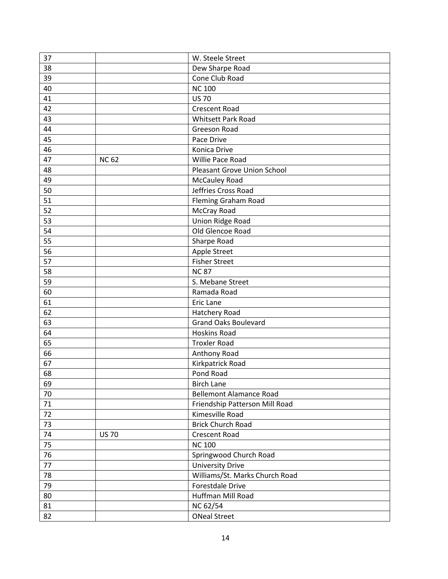| 37     |              | W. Steele Street               |
|--------|--------------|--------------------------------|
| 38     |              | Dew Sharpe Road                |
| 39     |              | Cone Club Road                 |
| 40     |              | <b>NC 100</b>                  |
| 41     |              | <b>US70</b>                    |
| 42     |              | <b>Crescent Road</b>           |
| 43     |              | <b>Whitsett Park Road</b>      |
| 44     |              | <b>Greeson Road</b>            |
| 45     |              | Pace Drive                     |
| 46     |              | Konica Drive                   |
| 47     | <b>NC 62</b> | Willie Pace Road               |
| 48     |              | Pleasant Grove Union School    |
| 49     |              | <b>McCauley Road</b>           |
| 50     |              | Jeffries Cross Road            |
| 51     |              | Fleming Graham Road            |
| 52     |              | McCray Road                    |
| 53     |              | Union Ridge Road               |
| 54     |              | Old Glencoe Road               |
| 55     |              | Sharpe Road                    |
| 56     |              | Apple Street                   |
| 57     |              | <b>Fisher Street</b>           |
| 58     |              | <b>NC87</b>                    |
| 59     |              | S. Mebane Street               |
| 60     |              | Ramada Road                    |
| 61     |              | <b>Eric Lane</b>               |
| 62     |              | Hatchery Road                  |
| 63     |              | <b>Grand Oaks Boulevard</b>    |
| 64     |              | <b>Hoskins Road</b>            |
| 65     |              | <b>Troxler Road</b>            |
| 66     |              | Anthony Road                   |
| 67     |              | Kirkpatrick Road               |
| 68     |              | Pond Road                      |
| 69     |              | <b>Birch Lane</b>              |
| 70     |              | <b>Bellemont Alamance Road</b> |
| $71\,$ |              | Friendship Patterson Mill Road |
| 72     |              | Kimesville Road                |
| 73     |              | <b>Brick Church Road</b>       |
| 74     | <b>US 70</b> | <b>Crescent Road</b>           |
| 75     |              | <b>NC 100</b>                  |
| 76     |              | Springwood Church Road         |
| 77     |              | <b>University Drive</b>        |
| 78     |              | Williams/St. Marks Church Road |
| 79     |              | Forestdale Drive               |
| 80     |              | Huffman Mill Road              |
| 81     |              | NC 62/54                       |
|        |              |                                |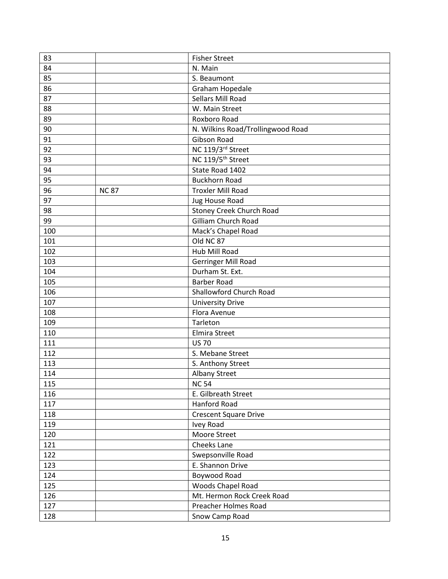| 83  |             | <b>Fisher Street</b>              |
|-----|-------------|-----------------------------------|
| 84  |             | N. Main                           |
| 85  |             | S. Beaumont                       |
| 86  |             | Graham Hopedale                   |
| 87  |             | Sellars Mill Road                 |
| 88  |             | W. Main Street                    |
| 89  |             | Roxboro Road                      |
| 90  |             | N. Wilkins Road/Trollingwood Road |
| 91  |             | Gibson Road                       |
| 92  |             | NC 119/3rd Street                 |
| 93  |             | NC 119/5 <sup>th</sup> Street     |
| 94  |             | State Road 1402                   |
| 95  |             | <b>Buckhorn Road</b>              |
| 96  | <b>NC87</b> | <b>Troxler Mill Road</b>          |
| 97  |             | <b>Jug House Road</b>             |
| 98  |             | <b>Stoney Creek Church Road</b>   |
| 99  |             | <b>Gilliam Church Road</b>        |
| 100 |             | Mack's Chapel Road                |
| 101 |             | Old NC 87                         |
| 102 |             | Hub Mill Road                     |
| 103 |             | <b>Gerringer Mill Road</b>        |
| 104 |             | Durham St. Ext.                   |
| 105 |             | <b>Barber Road</b>                |
| 106 |             | Shallowford Church Road           |
| 107 |             | <b>University Drive</b>           |
| 108 |             | Flora Avenue                      |
| 109 |             | Tarleton                          |
| 110 |             | <b>Elmira Street</b>              |
| 111 |             | <b>US 70</b>                      |
| 112 |             | S. Mebane Street                  |
| 113 |             | S. Anthony Street                 |
| 114 |             | <b>Albany Street</b>              |
| 115 |             | <b>NC 54</b>                      |
| 116 |             | E. Gilbreath Street               |
| 117 |             | <b>Hanford Road</b>               |
| 118 |             | <b>Crescent Square Drive</b>      |
| 119 |             | Ivey Road                         |
| 120 |             | Moore Street                      |
| 121 |             | Cheeks Lane                       |
| 122 |             | Swepsonville Road                 |
| 123 |             | E. Shannon Drive                  |
| 124 |             | Boywood Road                      |
| 125 |             | Woods Chapel Road                 |
| 126 |             | Mt. Hermon Rock Creek Road        |
| 127 |             | Preacher Holmes Road              |
| 128 |             | Snow Camp Road                    |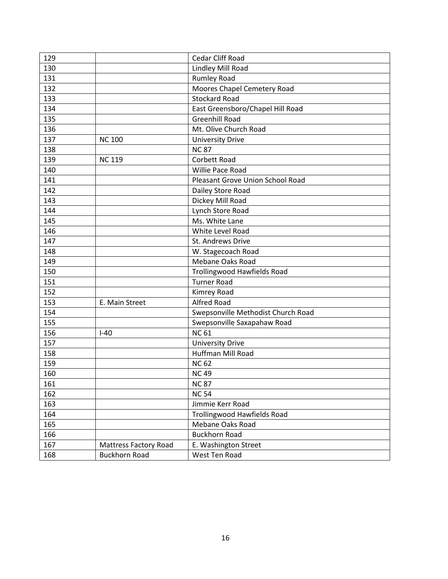| 129 |                              | Cedar Cliff Road                   |  |  |
|-----|------------------------------|------------------------------------|--|--|
| 130 |                              | Lindley Mill Road                  |  |  |
| 131 |                              | <b>Rumley Road</b>                 |  |  |
| 132 |                              | Moores Chapel Cemetery Road        |  |  |
| 133 |                              | <b>Stockard Road</b>               |  |  |
| 134 |                              | East Greensboro/Chapel Hill Road   |  |  |
| 135 |                              | <b>Greenhill Road</b>              |  |  |
| 136 |                              | Mt. Olive Church Road              |  |  |
| 137 | <b>NC 100</b>                | <b>University Drive</b>            |  |  |
| 138 |                              | <b>NC87</b>                        |  |  |
| 139 | <b>NC 119</b>                | Corbett Road                       |  |  |
| 140 |                              | Willie Pace Road                   |  |  |
| 141 |                              | Pleasant Grove Union School Road   |  |  |
| 142 |                              | Dailey Store Road                  |  |  |
| 143 |                              | Dickey Mill Road                   |  |  |
| 144 |                              | Lynch Store Road                   |  |  |
| 145 |                              | Ms. White Lane                     |  |  |
| 146 |                              | White Level Road                   |  |  |
| 147 |                              | St. Andrews Drive                  |  |  |
| 148 |                              | W. Stagecoach Road                 |  |  |
| 149 |                              | Mebane Oaks Road                   |  |  |
| 150 |                              | <b>Trollingwood Hawfields Road</b> |  |  |
| 151 |                              | <b>Turner Road</b>                 |  |  |
| 152 |                              | Kimrey Road                        |  |  |
| 153 | E. Main Street               | <b>Alfred Road</b>                 |  |  |
| 154 |                              | Swepsonville Methodist Church Road |  |  |
| 155 |                              | Swepsonville Saxapahaw Road        |  |  |
| 156 | $I-40$                       | <b>NC 61</b>                       |  |  |
| 157 |                              | <b>University Drive</b>            |  |  |
| 158 |                              | <b>Huffman Mill Road</b>           |  |  |
| 159 |                              | <b>NC 62</b>                       |  |  |
| 160 |                              | <b>NC49</b>                        |  |  |
| 161 |                              | <b>NC87</b>                        |  |  |
| 162 |                              | <b>NC 54</b>                       |  |  |
| 163 |                              | Jimmie Kerr Road                   |  |  |
| 164 |                              | Trollingwood Hawfields Road        |  |  |
| 165 |                              | Mebane Oaks Road                   |  |  |
| 166 |                              | <b>Buckhorn Road</b>               |  |  |
| 167 | <b>Mattress Factory Road</b> | E. Washington Street               |  |  |
| 168 | <b>Buckhorn Road</b>         | West Ten Road                      |  |  |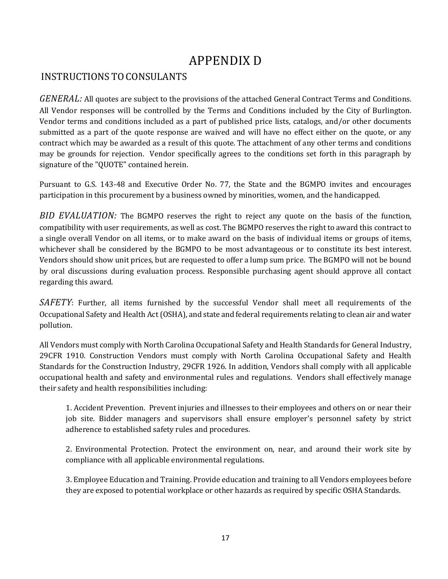# APPENDIX D

# INSTRUCTIONS TO CONSULANTS

*GENERAL:* All quotes are subject to the provisions of the attached General Contract Terms and Conditions. All Vendor responses will be controlled by the Terms and Conditions included by the City of Burlington. Vendor terms and conditions included as a part of published price lists, catalogs, and/or other documents submitted as a part of the quote response are waived and will have no effect either on the quote, or any contract which may be awarded as a result of this quote. The attachment of any other terms and conditions may be grounds for rejection. Vendor specifically agrees to the conditions set forth in this paragraph by signature of the "QUOTE" contained herein.

Pursuant to G.S. 143-48 and Executive Order No. 77, the State and the BGMPO invites and encourages participation in this procurement by a business owned by minorities, women, and the handicapped.

*BID EVALUATION:* The BGMPO reserves the right to reject any quote on the basis of the function, compatibility with user requirements, as well as cost. The BGMPO reserves the right to award this contract to a single overall Vendor on all items, or to make award on the basis of individual items or groups of items, whichever shall be considered by the BGMPO to be most advantageous or to constitute its best interest. Vendors should show unit prices, but are requested to offer a lump sum price. The BGMPO will not be bound by oral discussions during evaluation process. Responsible purchasing agent should approve all contact regarding this award.

*SAFETY*: Further, all items furnished by the successful Vendor shall meet all requirements of the Occupational Safety and Health Act (OSHA), and state and federal requirements relating to clean air and water pollution.

All Vendors must comply with North Carolina Occupational Safety and Health Standards for General Industry, 29CFR 1910. Construction Vendors must comply with North Carolina Occupational Safety and Health Standards for the Construction Industry, 29CFR 1926. In addition, Vendors shall comply with all applicable occupational health and safety and environmental rules and regulations. Vendors shall effectively manage their safety and health responsibilities including:

1. Accident Prevention. Prevent injuries and illnesses to their employees and others on or near their job site. Bidder managers and supervisors shall ensure employer's personnel safety by strict adherence to established safety rules and procedures.

2. Environmental Protection. Protect the environment on, near, and around their work site by compliance with all applicable environmental regulations.

3. Employee Education and Training. Provide education and training to all Vendors employees before they are exposed to potential workplace or other hazards as required by specific OSHA Standards.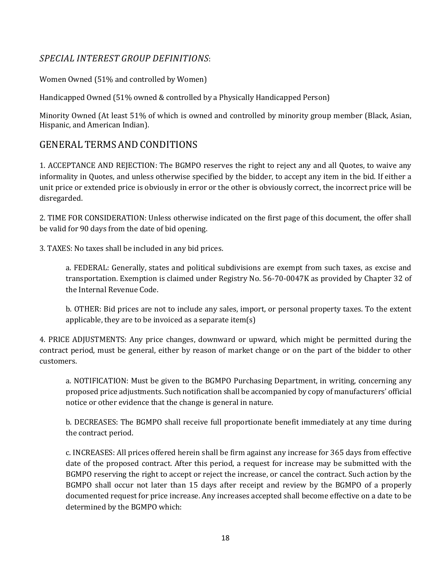# *SPECIAL INTEREST GROUP DEFINITIONS*:

Women Owned (51% and controlled by Women)

Handicapped Owned (51% owned & controlled by a Physically Handicapped Person)

Minority Owned (At least 51% of which is owned and controlled by minority group member (Black, Asian, Hispanic, and American Indian).

# GENERAL TERMS AND CONDITIONS

1. ACCEPTANCE AND REJECTION: The BGMPO reserves the right to reject any and all Quotes, to waive any informality in Quotes, and unless otherwise specified by the bidder, to accept any item in the bid. If either a unit price or extended price is obviously in error or the other is obviously correct, the incorrect price will be disregarded.

2. TIME FOR CONSIDERATION: Unless otherwise indicated on the first page of this document, the offer shall be valid for 90 days from the date of bid opening.

3. TAXES: No taxes shall be included in any bid prices.

a. FEDERAL: Generally, states and political subdivisions are exempt from such taxes, as excise and transportation. Exemption is claimed under Registry No. 56-70-0047K as provided by Chapter 32 of the Internal Revenue Code.

b. OTHER: Bid prices are not to include any sales, import, or personal property taxes. To the extent applicable, they are to be invoiced as a separate item(s)

4. PRICE ADJUSTMENTS: Any price changes, downward or upward, which might be permitted during the contract period, must be general, either by reason of market change or on the part of the bidder to other customers.

a. NOTIFICATION: Must be given to the BGMPO Purchasing Department, in writing, concerning any proposed price adjustments. Such notification shall be accompanied by copy of manufacturers' official notice or other evidence that the change is general in nature.

b. DECREASES: The BGMPO shall receive full proportionate benefit immediately at any time during the contract period.

c. INCREASES: All prices offered herein shall be firm against any increase for 365 days from effective date of the proposed contract. After this period, a request for increase may be submitted with the BGMPO reserving the right to accept or reject the increase, or cancel the contract. Such action by the BGMPO shall occur not later than 15 days after receipt and review by the BGMPO of a properly documented request for price increase. Any increases accepted shall become effective on a date to be determined by the BGMPO which: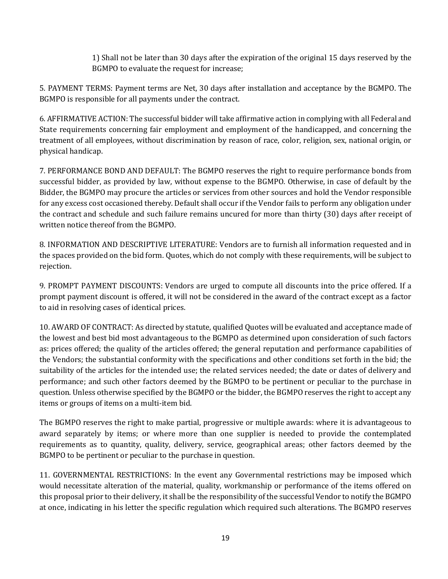1) Shall not be later than 30 days after the expiration of the original 15 days reserved by the BGMPO to evaluate the request for increase;

5. PAYMENT TERMS: Payment terms are Net, 30 days after installation and acceptance by the BGMPO. The BGMPO is responsible for all payments under the contract.

6. AFFIRMATIVE ACTION: The successful bidder will take affirmative action in complying with all Federal and State requirements concerning fair employment and employment of the handicapped, and concerning the treatment of all employees, without discrimination by reason of race, color, religion, sex, national origin, or physical handicap.

7. PERFORMANCE BOND AND DEFAULT: The BGMPO reserves the right to require performance bonds from successful bidder, as provided by law, without expense to the BGMPO. Otherwise, in case of default by the Bidder, the BGMPO may procure the articles or services from other sources and hold the Vendor responsible for any excess cost occasioned thereby. Default shall occur if the Vendor fails to perform any obligation under the contract and schedule and such failure remains uncured for more than thirty (30) days after receipt of written notice thereof from the BGMPO.

8. INFORMATION AND DESCRIPTIVE LITERATURE: Vendors are to furnish all information requested and in the spaces provided on the bid form. Quotes, which do not comply with these requirements, will be subject to rejection.

9. PROMPT PAYMENT DISCOUNTS: Vendors are urged to compute all discounts into the price offered. If a prompt payment discount is offered, it will not be considered in the award of the contract except as a factor to aid in resolving cases of identical prices.

10. AWARD OF CONTRACT: As directed by statute, qualified Quotes will be evaluated and acceptance made of the lowest and best bid most advantageous to the BGMPO as determined upon consideration of such factors as: prices offered; the quality of the articles offered; the general reputation and performance capabilities of the Vendors; the substantial conformity with the specifications and other conditions set forth in the bid; the suitability of the articles for the intended use; the related services needed; the date or dates of delivery and performance; and such other factors deemed by the BGMPO to be pertinent or peculiar to the purchase in question. Unless otherwise specified by the BGMPO or the bidder, the BGMPO reserves the right to accept any items or groups of items on a multi-item bid.

The BGMPO reserves the right to make partial, progressive or multiple awards: where it is advantageous to award separately by items; or where more than one supplier is needed to provide the contemplated requirements as to quantity, quality, delivery, service, geographical areas; other factors deemed by the BGMPO to be pertinent or peculiar to the purchase in question.

11. GOVERNMENTAL RESTRICTIONS: In the event any Governmental restrictions may be imposed which would necessitate alteration of the material, quality, workmanship or performance of the items offered on this proposal prior to their delivery, it shall be the responsibility of the successful Vendor to notify the BGMPO at once, indicating in his letter the specific regulation which required such alterations. The BGMPO reserves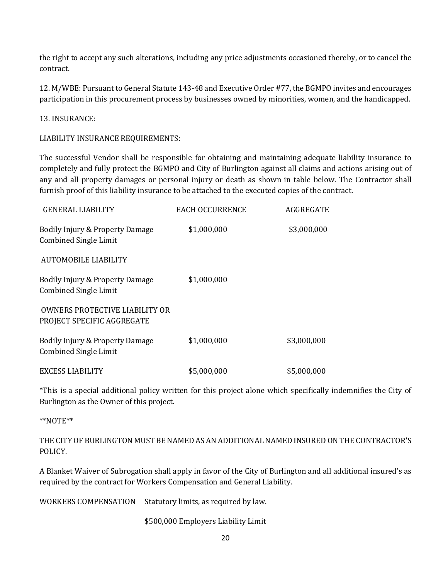the right to accept any such alterations, including any price adjustments occasioned thereby, or to cancel the contract.

12. M/WBE: Pursuant to General Statute 143-48 and Executive Order #77, the BGMPO invites and encourages participation in this procurement process by businesses owned by minorities, women, and the handicapped.

13. INSURANCE:

LIABILITY INSURANCE REQUIREMENTS:

The successful Vendor shall be responsible for obtaining and maintaining adequate liability insurance to completely and fully protect the BGMPO and City of Burlington against all claims and actions arising out of any and all property damages or personal injury or death as shown in table below. The Contractor shall furnish proof of this liability insurance to be attached to the executed copies of the contract.

| GENERAL LIABILITY                                               | <b>EACH OCCURRENCE</b> | AGGREGATE   |
|-----------------------------------------------------------------|------------------------|-------------|
| Bodily Injury & Property Damage<br><b>Combined Single Limit</b> | \$1,000,000            | \$3,000,000 |
| AUTOMOBILE LIABILITY                                            |                        |             |
| Bodily Injury & Property Damage<br><b>Combined Single Limit</b> | \$1,000,000            |             |
| OWNERS PROTECTIVE LIABILITY OR<br>PROJECT SPECIFIC AGGREGATE    |                        |             |
| Bodily Injury & Property Damage<br><b>Combined Single Limit</b> | \$1,000,000            | \$3,000,000 |
| <b>EXCESS LIABILITY</b>                                         | \$5,000,000            | \$5,000,000 |

\*This is a special additional policy written for this project alone which specifically indemnifies the City of Burlington as the Owner of this project.

#### \*\*NOTE\*\*

THE CITY OF BURLINGTON MUST BE NAMED AS AN ADDITIONAL NAMED INSURED ON THE CONTRACTOR'S POLICY.

A Blanket Waiver of Subrogation shall apply in favor of the City of Burlington and all additional insured's as required by the contract for Workers Compensation and General Liability.

WORKERS COMPENSATION Statutory limits, as required by law.

\$500,000 Employers Liability Limit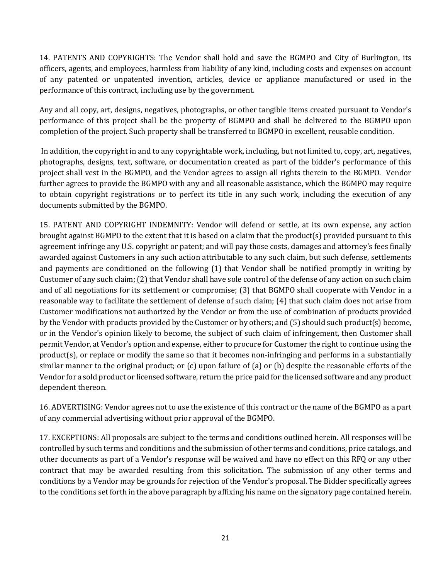14. PATENTS AND COPYRIGHTS: The Vendor shall hold and save the BGMPO and City of Burlington, its officers, agents, and employees, harmless from liability of any kind, including costs and expenses on account of any patented or unpatented invention, articles, device or appliance manufactured or used in the performance of this contract, including use by the government.

Any and all copy, art, designs, negatives, photographs, or other tangible items created pursuant to Vendor's performance of this project shall be the property of BGMPO and shall be delivered to the BGMPO upon completion of the project. Such property shall be transferred to BGMPO in excellent, reusable condition.

In addition, the copyright in and to any copyrightable work, including, but not limited to, copy, art, negatives, photographs, designs, text, software, or documentation created as part of the bidder's performance of this project shall vest in the BGMPO, and the Vendor agrees to assign all rights therein to the BGMPO. Vendor further agrees to provide the BGMPO with any and all reasonable assistance, which the BGMPO may require to obtain copyright registrations or to perfect its title in any such work, including the execution of any documents submitted by the BGMPO.

15. PATENT AND COPYRIGHT INDEMNITY: Vendor will defend or settle, at its own expense, any action brought against BGMPO to the extent that it is based on a claim that the product(s) provided pursuant to this agreement infringe any U.S. copyright or patent; and will pay those costs, damages and attorney's fees finally awarded against Customers in any such action attributable to any such claim, but such defense, settlements and payments are conditioned on the following (1) that Vendor shall be notified promptly in writing by Customer of any such claim; (2) that Vendor shall have sole control of the defense of any action on such claim and of all negotiations for its settlement or compromise; (3) that BGMPO shall cooperate with Vendor in a reasonable way to facilitate the settlement of defense of such claim; (4) that such claim does not arise from Customer modifications not authorized by the Vendor or from the use of combination of products provided by the Vendor with products provided by the Customer or by others; and (5) should such product(s) become, or in the Vendor's opinion likely to become, the subject of such claim of infringement, then Customer shall permit Vendor, at Vendor's option and expense, either to procure for Customer the right to continue using the product(s), or replace or modify the same so that it becomes non-infringing and performs in a substantially similar manner to the original product; or (c) upon failure of (a) or (b) despite the reasonable efforts of the Vendor for a sold product or licensed software, return the price paid for the licensed software and any product dependent thereon.

16. ADVERTISING: Vendor agrees not to use the existence of this contract or the name of the BGMPO as a part of any commercial advertising without prior approval of the BGMPO.

17. EXCEPTIONS: All proposals are subject to the terms and conditions outlined herein. All responses will be controlled by such terms and conditions and the submission of other terms and conditions, price catalogs, and other documents as part of a Vendor's response will be waived and have no effect on this RFQ or any other contract that may be awarded resulting from this solicitation. The submission of any other terms and conditions by a Vendor may be grounds for rejection of the Vendor's proposal. The Bidder specifically agrees to the conditions set forth in the above paragraph by affixing his name on the signatory page contained herein.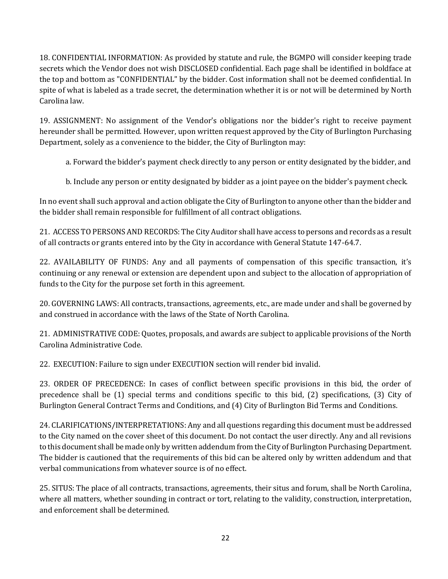18. CONFIDENTIAL INFORMATION: As provided by statute and rule, the BGMPO will consider keeping trade secrets which the Vendor does not wish DISCLOSED confidential. Each page shall be identified in boldface at the top and bottom as "CONFIDENTIAL" by the bidder. Cost information shall not be deemed confidential. In spite of what is labeled as a trade secret, the determination whether it is or not will be determined by North Carolina law.

19. ASSIGNMENT: No assignment of the Vendor's obligations nor the bidder's right to receive payment hereunder shall be permitted. However, upon written request approved by the City of Burlington Purchasing Department, solely as a convenience to the bidder, the City of Burlington may:

a. Forward the bidder's payment check directly to any person or entity designated by the bidder, and

b. Include any person or entity designated by bidder as a joint payee on the bidder's payment check.

In no event shall such approval and action obligate the City of Burlington to anyone other than the bidder and the bidder shall remain responsible for fulfillment of all contract obligations.

21. ACCESS TO PERSONS AND RECORDS: The City Auditor shall have access to persons and records as a result of all contracts or grants entered into by the City in accordance with General Statute 147-64.7.

22. AVAILABILITY OF FUNDS: Any and all payments of compensation of this specific transaction, it's continuing or any renewal or extension are dependent upon and subject to the allocation of appropriation of funds to the City for the purpose set forth in this agreement.

20. GOVERNING LAWS: All contracts, transactions, agreements, etc., are made under and shall be governed by and construed in accordance with the laws of the State of North Carolina.

21. ADMINISTRATIVE CODE: Quotes, proposals, and awards are subject to applicable provisions of the North Carolina Administrative Code.

22. EXECUTION: Failure to sign under EXECUTION section will render bid invalid.

23. ORDER OF PRECEDENCE: In cases of conflict between specific provisions in this bid, the order of precedence shall be (1) special terms and conditions specific to this bid, (2) specifications, (3) City of Burlington General Contract Terms and Conditions, and (4) City of Burlington Bid Terms and Conditions.

24. CLARIFICATIONS/INTERPRETATIONS: Any and all questions regarding this document must be addressed to the City named on the cover sheet of this document. Do not contact the user directly. Any and all revisions to this document shall be made only by written addendum from the City of Burlington Purchasing Department. The bidder is cautioned that the requirements of this bid can be altered only by written addendum and that verbal communications from whatever source is of no effect.

25. SITUS: The place of all contracts, transactions, agreements, their situs and forum, shall be North Carolina, where all matters, whether sounding in contract or tort, relating to the validity, construction, interpretation, and enforcement shall be determined.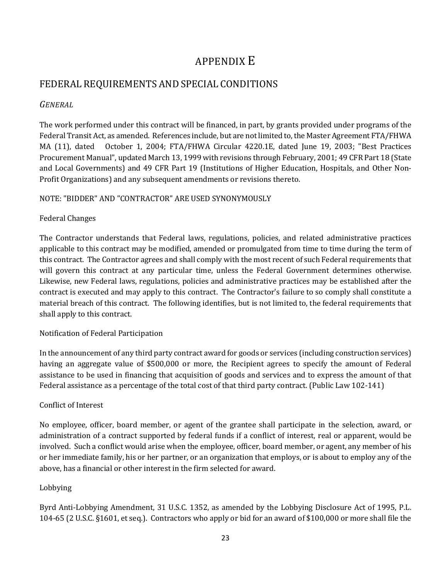# APPENDIX E

# FEDERAL REQUIREMENTS AND SPECIAL CONDITIONS

# *GENERAL*

The work performed under this contract will be financed, in part, by grants provided under programs of the Federal Transit Act, as amended. References include, but are not limited to, the Master Agreement FTA/FHWA MA (11), dated October 1, 2004; FTA/FHWA Circular 4220.1E, dated June 19, 2003; "Best Practices Procurement Manual", updated March 13, 1999 with revisions through February, 2001; 49 CFR Part 18 (State and Local Governments) and 49 CFR Part 19 (Institutions of Higher Education, Hospitals, and Other Non-Profit Organizations) and any subsequent amendments or revisions thereto.

# NOTE: "BIDDER" AND "CONTRACTOR" ARE USED SYNONYMOUSLY

### Federal Changes

The Contractor understands that Federal laws, regulations, policies, and related administrative practices applicable to this contract may be modified, amended or promulgated from time to time during the term of this contract. The Contractor agrees and shall comply with the most recent of such Federal requirements that will govern this contract at any particular time, unless the Federal Government determines otherwise. Likewise, new Federal laws, regulations, policies and administrative practices may be established after the contract is executed and may apply to this contract. The Contractor's failure to so comply shall constitute a material breach of this contract. The following identifies, but is not limited to, the federal requirements that shall apply to this contract.

# Notification of Federal Participation

In the announcement of any third party contract award for goods or services (including construction services) having an aggregate value of \$500,000 or more, the Recipient agrees to specify the amount of Federal assistance to be used in financing that acquisition of goods and services and to express the amount of that Federal assistance as a percentage of the total cost of that third party contract. (Public Law 102-141)

# Conflict of Interest

No employee, officer, board member, or agent of the grantee shall participate in the selection, award, or administration of a contract supported by federal funds if a conflict of interest, real or apparent, would be involved. Such a conflict would arise when the employee, officer, board member, or agent, any member of his or her immediate family, his or her partner, or an organization that employs, or is about to employ any of the above, has a financial or other interest in the firm selected for award.

### Lobbying

Byrd Anti-Lobbying Amendment, 31 U.S.C. 1352, as amended by the Lobbying Disclosure Act of 1995, P.L. 104-65 (2 U.S.C. §1601, et seq.). Contractors who apply or bid for an award of \$100,000 or more shall file the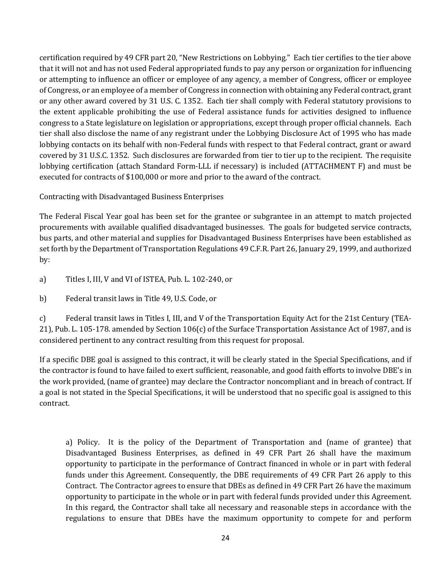certification required by 49 CFR part 20, "New Restrictions on Lobbying." Each tier certifies to the tier above that it will not and has not used Federal appropriated funds to pay any person or organization for influencing or attempting to influence an officer or employee of any agency, a member of Congress, officer or employee of Congress, or an employee of a member of Congress in connection with obtaining any Federal contract, grant or any other award covered by 31 U.S. C. 1352. Each tier shall comply with Federal statutory provisions to the extent applicable prohibiting the use of Federal assistance funds for activities designed to influence congress to a State legislature on legislation or appropriations, except through proper official channels. Each tier shall also disclose the name of any registrant under the Lobbying Disclosure Act of 1995 who has made lobbying contacts on its behalf with non-Federal funds with respect to that Federal contract, grant or award covered by 31 U.S.C. 1352. Such disclosures are forwarded from tier to tier up to the recipient. The requisite lobbying certification (attach Standard Form-LLL if necessary) is included (ATTACHMENT F) and must be executed for contracts of \$100,000 or more and prior to the award of the contract.

Contracting with Disadvantaged Business Enterprises

The Federal Fiscal Year goal has been set for the grantee or subgrantee in an attempt to match projected procurements with available qualified disadvantaged businesses. The goals for budgeted service contracts, bus parts, and other material and supplies for Disadvantaged Business Enterprises have been established as set forth by the Department of Transportation Regulations 49 C.F.R. Part 26, January 29, 1999, and authorized by:

- a) Titles I, III, V and VI of ISTEA, Pub. L. 102-240, or
- b) Federal transit laws in Title 49, U.S. Code, or

c) Federal transit laws in Titles I, III, and V of the Transportation Equity Act for the 21st Century (TEA-21), Pub. L. 105-178. amended by Section 106(c) of the Surface Transportation Assistance Act of 1987, and is considered pertinent to any contract resulting from this request for proposal.

If a specific DBE goal is assigned to this contract, it will be clearly stated in the Special Specifications, and if the contractor is found to have failed to exert sufficient, reasonable, and good faith efforts to involve DBE's in the work provided, (name of grantee) may declare the Contractor noncompliant and in breach of contract. If a goal is not stated in the Special Specifications, it will be understood that no specific goal is assigned to this contract.

a) Policy. It is the policy of the Department of Transportation and (name of grantee) that Disadvantaged Business Enterprises, as defined in 49 CFR Part 26 shall have the maximum opportunity to participate in the performance of Contract financed in whole or in part with federal funds under this Agreement. Consequently, the DBE requirements of 49 CFR Part 26 apply to this Contract. The Contractor agrees to ensure that DBEs as defined in 49 CFR Part 26 have the maximum opportunity to participate in the whole or in part with federal funds provided under this Agreement. In this regard, the Contractor shall take all necessary and reasonable steps in accordance with the regulations to ensure that DBEs have the maximum opportunity to compete for and perform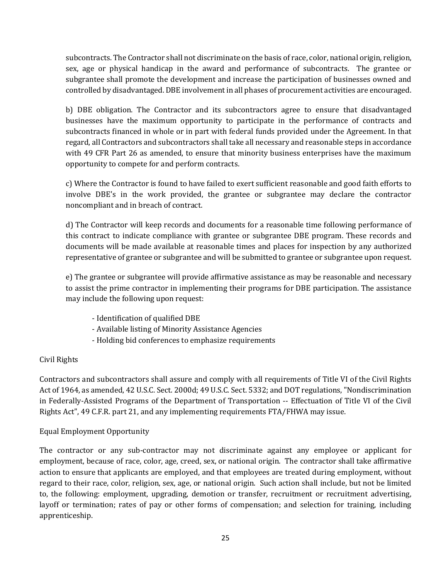subcontracts. The Contractor shall not discriminate on the basis of race, color, national origin, religion, sex, age or physical handicap in the award and performance of subcontracts. The grantee or subgrantee shall promote the development and increase the participation of businesses owned and controlled by disadvantaged. DBE involvement in all phases of procurement activities are encouraged.

b) DBE obligation. The Contractor and its subcontractors agree to ensure that disadvantaged businesses have the maximum opportunity to participate in the performance of contracts and subcontracts financed in whole or in part with federal funds provided under the Agreement. In that regard, all Contractors and subcontractors shall take all necessary and reasonable steps in accordance with 49 CFR Part 26 as amended, to ensure that minority business enterprises have the maximum opportunity to compete for and perform contracts.

c) Where the Contractor is found to have failed to exert sufficient reasonable and good faith efforts to involve DBE's in the work provided, the grantee or subgrantee may declare the contractor noncompliant and in breach of contract.

d) The Contractor will keep records and documents for a reasonable time following performance of this contract to indicate compliance with grantee or subgrantee DBE program. These records and documents will be made available at reasonable times and places for inspection by any authorized representative of grantee or subgrantee and will be submitted to grantee or subgrantee upon request.

e) The grantee or subgrantee will provide affirmative assistance as may be reasonable and necessary to assist the prime contractor in implementing their programs for DBE participation. The assistance may include the following upon request:

- Identification of qualified DBE
- Available listing of Minority Assistance Agencies
- Holding bid conferences to emphasize requirements

### Civil Rights

Contractors and subcontractors shall assure and comply with all requirements of Title VI of the Civil Rights Act of 1964, as amended, 42 U.S.C. Sect. 2000d; 49 U.S.C. Sect. 5332; and DOT regulations, "Nondiscrimination in Federally-Assisted Programs of the Department of Transportation -- Effectuation of Title VI of the Civil Rights Act", 49 C.F.R. part 21, and any implementing requirements FTA/FHWA may issue.

### Equal Employment Opportunity

The contractor or any sub-contractor may not discriminate against any employee or applicant for employment, because of race, color, age, creed, sex, or national origin. The contractor shall take affirmative action to ensure that applicants are employed, and that employees are treated during employment, without regard to their race, color, religion, sex, age, or national origin. Such action shall include, but not be limited to, the following: employment, upgrading, demotion or transfer, recruitment or recruitment advertising, layoff or termination; rates of pay or other forms of compensation; and selection for training, including apprenticeship.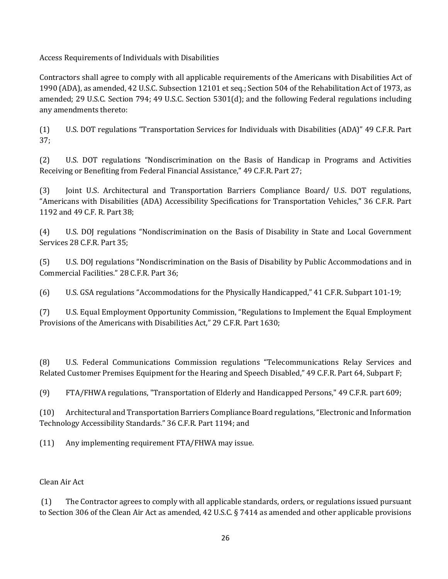Access Requirements of Individuals with Disabilities

Contractors shall agree to comply with all applicable requirements of the Americans with Disabilities Act of 1990 (ADA), as amended, 42 U.S.C. Subsection 12101 et seq.; Section 504 of the Rehabilitation Act of 1973, as amended; 29 U.S.C. Section 794; 49 U.S.C. Section 5301(d); and the following Federal regulations including any amendments thereto:

(1) U.S. DOT regulations "Transportation Services for Individuals with Disabilities (ADA)" 49 C.F.R. Part 37;

(2) U.S. DOT regulations "Nondiscrimination on the Basis of Handicap in Programs and Activities Receiving or Benefiting from Federal Financial Assistance," 49 C.F.R. Part 27;

(3) Joint U.S. Architectural and Transportation Barriers Compliance Board/ U.S. DOT regulations, "Americans with Disabilities (ADA) Accessibility Specifications for Transportation Vehicles," 36 C.F.R. Part 1192 and 49 C.F. R. Part 38;

(4) U.S. DOJ regulations "Nondiscrimination on the Basis of Disability in State and Local Government Services 28 C.F.R. Part 35;

(5) U.S. DOJ regulations "Nondiscrimination on the Basis of Disability by Public Accommodations and in Commercial Facilities." 28 C.F.R. Part 36;

(6) U.S. GSA regulations "Accommodations for the Physically Handicapped," 41 C.F.R. Subpart 101-19;

(7) U.S. Equal Employment Opportunity Commission, "Regulations to Implement the Equal Employment Provisions of the Americans with Disabilities Act," 29 C.F.R. Part 1630;

(8) U.S. Federal Communications Commission regulations "Telecommunications Relay Services and Related Customer Premises Equipment for the Hearing and Speech Disabled," 49 C.F.R. Part 64, Subpart F;

(9) FTA/FHWA regulations, "Transportation of Elderly and Handicapped Persons," 49 C.F.R. part 609;

(10) Architectural and Transportation Barriers Compliance Board regulations, "Electronic and Information Technology Accessibility Standards." 36 C.F.R. Part 1194; and

(11) Any implementing requirement FTA/FHWA may issue.

### Clean Air Act

(1) The Contractor agrees to comply with all applicable standards, orders, or regulations issued pursuant to Section 306 of the Clean Air Act as amended, 42 U.S.C. § 7414 as amended and other applicable provisions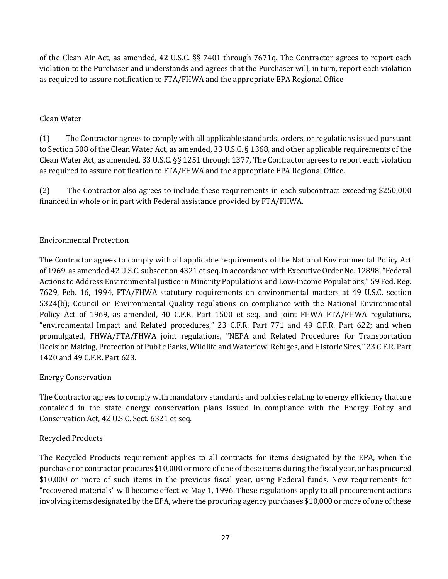of the Clean Air Act, as amended, 42 U.S.C. §§ 7401 through 7671q. The Contractor agrees to report each violation to the Purchaser and understands and agrees that the Purchaser will, in turn, report each violation as required to assure notification to FTA/FHWA and the appropriate EPA Regional Office

### Clean Water

(1) The Contractor agrees to comply with all applicable standards, orders, or regulations issued pursuant to Section 508 of the Clean Water Act, as amended, 33 U.S.C. § 1368, and other applicable requirements of the Clean Water Act, as amended, 33 U.S.C. §§ 1251 through 1377, The Contractor agrees to report each violation as required to assure notification to FTA/FHWA and the appropriate EPA Regional Office.

(2) The Contractor also agrees to include these requirements in each subcontract exceeding \$250,000 financed in whole or in part with Federal assistance provided by FTA/FHWA.

### Environmental Protection

The Contractor agrees to comply with all applicable requirements of the National Environmental Policy Act of 1969, as amended 42 U.S.C. subsection 4321 et seq. in accordance with Executive Order No. 12898, "Federal Actions to Address Environmental Justice in Minority Populations and Low-Income Populations," 59 Fed. Reg. 7629, Feb. 16, 1994, FTA/FHWA statutory requirements on environmental matters at 49 U.S.C. section 5324(b); Council on Environmental Quality regulations on compliance with the National Environmental Policy Act of 1969, as amended, 40 C.F.R. Part 1500 et seq. and joint FHWA FTA/FHWA regulations, "environmental Impact and Related procedures," 23 C.F.R. Part 771 and 49 C.F.R. Part 622; and when promulgated, FHWA/FTA/FHWA joint regulations, "NEPA and Related Procedures for Transportation Decision Making, Protection of Public Parks, Wildlife and Waterfowl Refuges, and Historic Sites," 23 C.F.R. Part 1420 and 49 C.F.R. Part 623.

### Energy Conservation

The Contractor agrees to comply with mandatory standards and policies relating to energy efficiency that are contained in the state energy conservation plans issued in compliance with the Energy Policy and Conservation Act, 42 U.S.C. Sect. 6321 et seq.

### Recycled Products

The Recycled Products requirement applies to all contracts for items designated by the EPA, when the purchaser or contractor procures \$10,000 or more of one of these items during the fiscal year, or has procured \$10,000 or more of such items in the previous fiscal year, using Federal funds. New requirements for "recovered materials" will become effective May 1, 1996. These regulations apply to all procurement actions involving items designated by the EPA, where the procuring agency purchases \$10,000 or more of one of these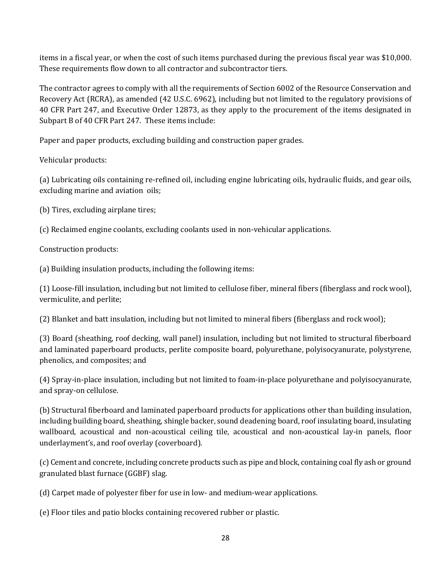items in a fiscal year, or when the cost of such items purchased during the previous fiscal year was \$10,000. These requirements flow down to all contractor and subcontractor tiers.

The contractor agrees to comply with all the requirements of Section 6002 of the Resource Conservation and Recovery Act (RCRA), as amended (42 U.S.C. 6962), including but not limited to the regulatory provisions of 40 CFR Part 247, and Executive Order 12873, as they apply to the procurement of the items designated in Subpart B of 40 CFR Part 247. These items include:

Paper and paper products, excluding building and construction paper grades.

Vehicular products:

(a) Lubricating oils containing re-refined oil, including engine lubricating oils, hydraulic fluids, and gear oils, excluding marine and aviation oils;

(b) Tires, excluding airplane tires;

(c) Reclaimed engine coolants, excluding coolants used in non-vehicular applications.

Construction products:

(a) Building insulation products, including the following items:

(1) Loose-fill insulation, including but not limited to cellulose fiber, mineral fibers (fiberglass and rock wool), vermiculite, and perlite;

(2) Blanket and batt insulation, including but not limited to mineral fibers (fiberglass and rock wool);

(3) Board (sheathing, roof decking, wall panel) insulation, including but not limited to structural fiberboard and laminated paperboard products, perlite composite board, polyurethane, polyisocyanurate, polystyrene, phenolics, and composites; and

(4) Spray-in-place insulation, including but not limited to foam-in-place polyurethane and polyisocyanurate, and spray-on cellulose.

(b) Structural fiberboard and laminated paperboard products for applications other than building insulation, including building board, sheathing, shingle backer, sound deadening board, roof insulating board, insulating wallboard, acoustical and non-acoustical ceiling tile, acoustical and non-acoustical lay-in panels, floor underlayment's, and roof overlay (coverboard).

(c) Cement and concrete, including concrete products such as pipe and block, containing coal fly ash or ground granulated blast furnace (GGBF) slag.

(d) Carpet made of polyester fiber for use in low- and medium-wear applications.

(e) Floor tiles and patio blocks containing recovered rubber or plastic.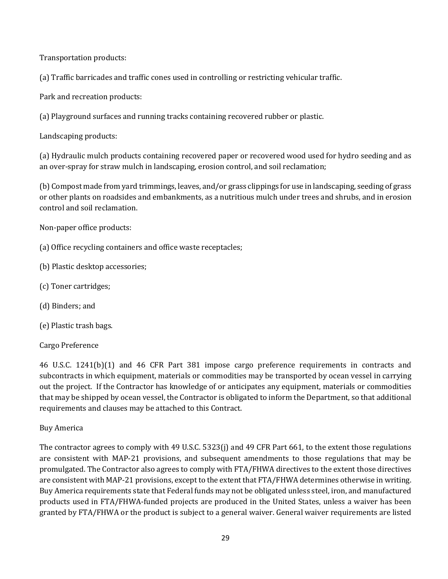Transportation products:

(a) Traffic barricades and traffic cones used in controlling or restricting vehicular traffic.

Park and recreation products:

(a) Playground surfaces and running tracks containing recovered rubber or plastic.

Landscaping products:

(a) Hydraulic mulch products containing recovered paper or recovered wood used for hydro seeding and as an over-spray for straw mulch in landscaping, erosion control, and soil reclamation;

(b) Compost made from yard trimmings, leaves, and/or grass clippings for use in landscaping, seeding of grass or other plants on roadsides and embankments, as a nutritious mulch under trees and shrubs, and in erosion control and soil reclamation.

Non-paper office products:

- (a) Office recycling containers and office waste receptacles;
- (b) Plastic desktop accessories;
- (c) Toner cartridges;
- (d) Binders; and
- (e) Plastic trash bags.

### Cargo Preference

46 U.S.C. 1241(b)(1) and 46 CFR Part 381 impose cargo preference requirements in contracts and subcontracts in which equipment, materials or commodities may be transported by ocean vessel in carrying out the project. If the Contractor has knowledge of or anticipates any equipment, materials or commodities that may be shipped by ocean vessel, the Contractor is obligated to inform the Department, so that additional requirements and clauses may be attached to this Contract.

### Buy America

The contractor agrees to comply with 49 U.S.C. 5323(j) and 49 CFR Part 661, to the extent those regulations are consistent with MAP-21 provisions, and subsequent amendments to those regulations that may be promulgated. The Contractor also agrees to comply with FTA/FHWA directives to the extent those directives are consistent with MAP-21 provisions, except to the extent that FTA/FHWA determines otherwise in writing. Buy America requirements state that Federal funds may not be obligated unless steel, iron, and manufactured products used in FTA/FHWA-funded projects are produced in the United States, unless a waiver has been granted by FTA/FHWA or the product is subject to a general waiver. General waiver requirements are listed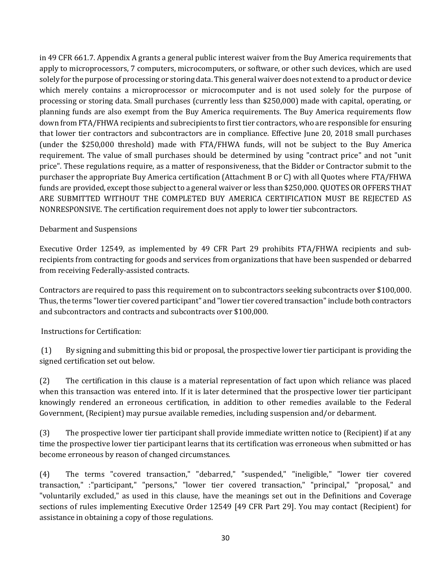in 49 CFR 661.7. Appendix A grants a general public interest waiver from the Buy America requirements that apply to microprocessors, 7 computers, microcomputers, or software, or other such devices, which are used solely for the purpose of processing or storing data. This general waiver does not extend to a product or device which merely contains a microprocessor or microcomputer and is not used solely for the purpose of processing or storing data. Small purchases (currently less than \$250,000) made with capital, operating, or planning funds are also exempt from the Buy America requirements. The Buy America requirements flow down from FTA/FHWA recipients and subrecipients to first tier contractors, who are responsible for ensuring that lower tier contractors and subcontractors are in compliance. Effective June 20, 2018 small purchases (under the \$250,000 threshold) made with FTA/FHWA funds, will not be subject to the Buy America requirement. The value of small purchases should be determined by using "contract price" and not "unit price". These regulations require, as a matter of responsiveness, that the Bidder or Contractor submit to the purchaser the appropriate Buy America certification (Attachment B or C) with all Quotes where FTA/FHWA funds are provided, except those subject to a general waiver or less than \$250,000. QUOTES OR OFFERS THAT ARE SUBMITTED WITHOUT THE COMPLETED BUY AMERICA CERTIFICATION MUST BE REJECTED AS NONRESPONSIVE. The certification requirement does not apply to lower tier subcontractors.

### Debarment and Suspensions

Executive Order 12549, as implemented by 49 CFR Part 29 prohibits FTA/FHWA recipients and subrecipients from contracting for goods and services from organizations that have been suspended or debarred from receiving Federally-assisted contracts.

Contractors are required to pass this requirement on to subcontractors seeking subcontracts over \$100,000. Thus, the terms "lower tier covered participant" and "lower tier covered transaction" include both contractors and subcontractors and contracts and subcontracts over \$100,000.

#### Instructions for Certification:

(1) By signing and submitting this bid or proposal, the prospective lower tier participant is providing the signed certification set out below.

(2) The certification in this clause is a material representation of fact upon which reliance was placed when this transaction was entered into. If it is later determined that the prospective lower tier participant knowingly rendered an erroneous certification, in addition to other remedies available to the Federal Government, (Recipient) may pursue available remedies, including suspension and/or debarment.

(3) The prospective lower tier participant shall provide immediate written notice to (Recipient) if at any time the prospective lower tier participant learns that its certification was erroneous when submitted or has become erroneous by reason of changed circumstances.

(4) The terms "covered transaction," "debarred," "suspended," "ineligible," "lower tier covered transaction," :"participant," "persons," "lower tier covered transaction," "principal," "proposal," and "voluntarily excluded," as used in this clause, have the meanings set out in the Definitions and Coverage sections of rules implementing Executive Order 12549 [49 CFR Part 29]. You may contact (Recipient) for assistance in obtaining a copy of those regulations.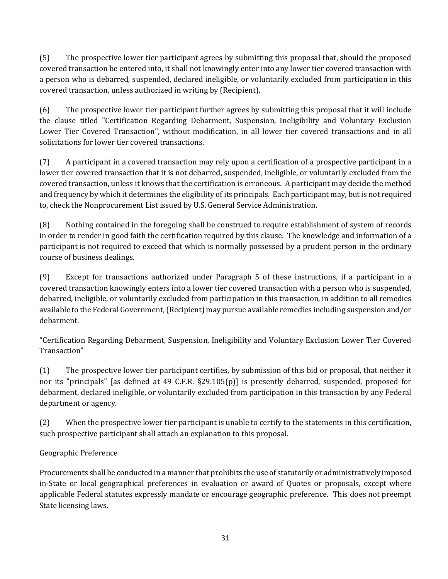(5) The prospective lower tier participant agrees by submitting this proposal that, should the proposed covered transaction be entered into, it shall not knowingly enter into any lower tier covered transaction with a person who is debarred, suspended, declared ineligible, or voluntarily excluded from participation in this covered transaction, unless authorized in writing by (Recipient).

(6) The prospective lower tier participant further agrees by submitting this proposal that it will include the clause titled "Certification Regarding Debarment, Suspension, Ineligibility and Voluntary Exclusion Lower Tier Covered Transaction", without modification, in all lower tier covered transactions and in all solicitations for lower tier covered transactions.

(7) A participant in a covered transaction may rely upon a certification of a prospective participant in a lower tier covered transaction that it is not debarred, suspended, ineligible, or voluntarily excluded from the covered transaction, unless it knows that the certification is erroneous. A participant may decide the method and frequency by which it determines the eligibility of its principals. Each participant may, but is not required to, check the Nonprocurement List issued by U.S. General Service Administration.

(8) Nothing contained in the foregoing shall be construed to require establishment of system of records in order to render in good faith the certification required by this clause. The knowledge and information of a participant is not required to exceed that which is normally possessed by a prudent person in the ordinary course of business dealings.

(9) Except for transactions authorized under Paragraph 5 of these instructions, if a participant in a covered transaction knowingly enters into a lower tier covered transaction with a person who is suspended, debarred, ineligible, or voluntarily excluded from participation in this transaction, in addition to all remedies available to the Federal Government, (Recipient) may pursue available remedies including suspension and/or debarment.

"Certification Regarding Debarment, Suspension, Ineligibility and Voluntary Exclusion Lower Tier Covered Transaction"

(1) The prospective lower tier participant certifies, by submission of this bid or proposal, that neither it nor its "principals" [as defined at 49 C.F.R. §29.105(p)] is presently debarred, suspended, proposed for debarment, declared ineligible, or voluntarily excluded from participation in this transaction by any Federal department or agency.

(2) When the prospective lower tier participant is unable to certify to the statements in this certification, such prospective participant shall attach an explanation to this proposal.

# Geographic Preference

Procurements shall be conducted in a manner that prohibits the use of statutorily or administratively imposed in-State or local geographical preferences in evaluation or award of Quotes or proposals, except where applicable Federal statutes expressly mandate or encourage geographic preference. This does not preempt State licensing laws.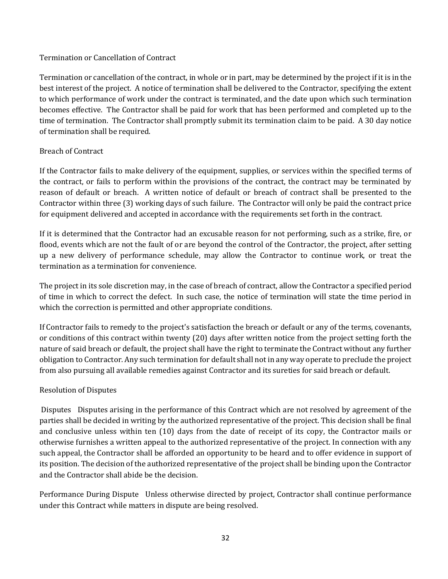### Termination or Cancellation of Contract

Termination or cancellation of the contract, in whole or in part, may be determined by the project if it is in the best interest of the project. A notice of termination shall be delivered to the Contractor, specifying the extent to which performance of work under the contract is terminated, and the date upon which such termination becomes effective. The Contractor shall be paid for work that has been performed and completed up to the time of termination. The Contractor shall promptly submit its termination claim to be paid. A 30 day notice of termination shall be required.

### Breach of Contract

If the Contractor fails to make delivery of the equipment, supplies, or services within the specified terms of the contract, or fails to perform within the provisions of the contract, the contract may be terminated by reason of default or breach. A written notice of default or breach of contract shall be presented to the Contractor within three (3) working days of such failure. The Contractor will only be paid the contract price for equipment delivered and accepted in accordance with the requirements set forth in the contract.

If it is determined that the Contractor had an excusable reason for not performing, such as a strike, fire, or flood, events which are not the fault of or are beyond the control of the Contractor, the project, after setting up a new delivery of performance schedule, may allow the Contractor to continue work, or treat the termination as a termination for convenience.

The project in its sole discretion may, in the case of breach of contract, allow the Contractor a specified period of time in which to correct the defect. In such case, the notice of termination will state the time period in which the correction is permitted and other appropriate conditions.

If Contractor fails to remedy to the project's satisfaction the breach or default or any of the terms, covenants, or conditions of this contract within twenty (20) days after written notice from the project setting forth the nature of said breach or default, the project shall have the right to terminate the Contract without any further obligation to Contractor. Any such termination for default shall not in any way operate to preclude the project from also pursuing all available remedies against Contractor and its sureties for said breach or default.

### Resolution of Disputes

Disputes Disputes arising in the performance of this Contract which are not resolved by agreement of the parties shall be decided in writing by the authorized representative of the project. This decision shall be final and conclusive unless within ten (10) days from the date of receipt of its copy, the Contractor mails or otherwise furnishes a written appeal to the authorized representative of the project. In connection with any such appeal, the Contractor shall be afforded an opportunity to be heard and to offer evidence in support of its position. The decision of the authorized representative of the project shall be binding upon the Contractor and the Contractor shall abide be the decision.

Performance During Dispute Unless otherwise directed by project, Contractor shall continue performance under this Contract while matters in dispute are being resolved.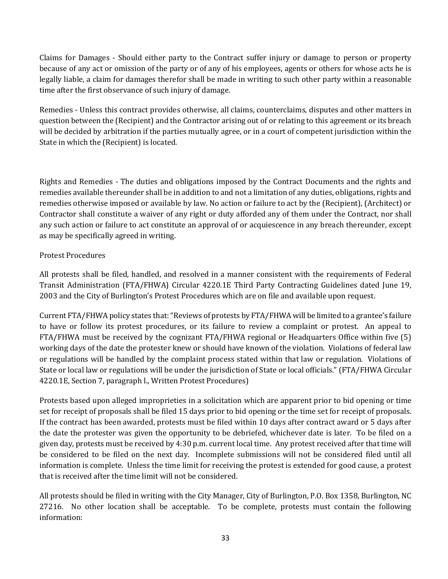Claims for Damages - Should either party to the Contract suffer injury or damage to person or property because of any act or omission of the party or of any of his employees, agents or others for whose acts he is legally liable, a claim for damages therefor shall be made in writing to such other party within a reasonable time after the first observance of such injury of damage.

Remedies - Unless this contract provides otherwise, all claims, counterclaims, disputes and other matters in question between the (Recipient) and the Contractor arising out of or relating to this agreement or its breach will be decided by arbitration if the parties mutually agree, or in a court of competent jurisdiction within the State in which the (Recipient) is located.

Rights and Remedies - The duties and obligations imposed by the Contract Documents and the rights and remedies available thereunder shall be in addition to and not a limitation of any duties, obligations, rights and remedies otherwise imposed or available by law. No action or failure to act by the (Recipient), (Architect) or Contractor shall constitute a waiver of any right or duty afforded any of them under the Contract, nor shall any such action or failure to act constitute an approval of or acquiescence in any breach thereunder, except as may be specifically agreed in writing.

# Protest Procedures

All protests shall be filed, handled, and resolved in a manner consistent with the requirements of Federal Transit Administration (FTA/FHWA) Circular 4220.1E Third Party Contracting Guidelines dated June 19, 2003 and the City of Burlington's Protest Procedures which are on file and available upon request.

Current FTA/FHWA policy states that: "Reviews of protests by FTA/FHWA will be limited to a grantee's failure to have or follow its protest procedures, or its failure to review a complaint or protest. An appeal to FTA/FHWA must be received by the cognizant FTA/FHWA regional or Headquarters Office within five (5) working days of the date the protester knew or should have known of the violation. Violations of federal law or regulations will be handled by the complaint process stated within that law or regulation. Violations of State or local law or regulations will be under the jurisdiction of State or local officials." (FTA/FHWA Circular 4220.1E, Section 7, paragraph l., Written Protest Procedures)

Protests based upon alleged improprieties in a solicitation which are apparent prior to bid opening or time set for receipt of proposals shall be filed 15 days prior to bid opening or the time set for receipt of proposals. If the contract has been awarded, protests must be filed within 10 days after contract award or 5 days after the date the protester was given the opportunity to be debriefed, whichever date is later. To be filed on a given day, protests must be received by 4:30 p.m. current local time. Any protest received after that time will be considered to be filed on the next day. Incomplete submissions will not be considered filed until all information is complete. Unless the time limit for receiving the protest is extended for good cause, a protest that is received after the time limit will not be considered.

All protests should be filed in writing with the City Manager, City of Burlington, P.O. Box 1358, Burlington, NC 27216. No other location shall be acceptable. To be complete, protests must contain the following information: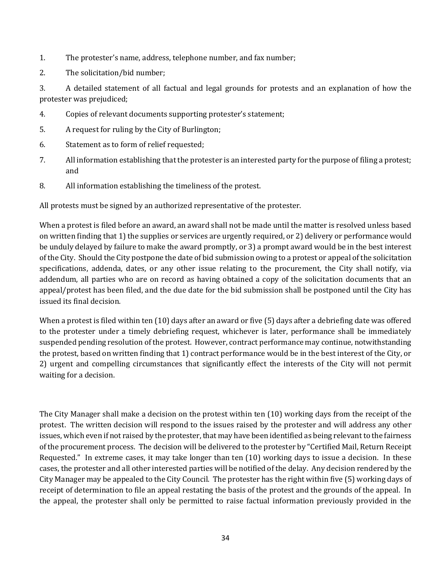- 1. The protester's name, address, telephone number, and fax number;
- 2. The solicitation/bid number;

3. A detailed statement of all factual and legal grounds for protests and an explanation of how the protester was prejudiced;

- 4. Copies of relevant documents supporting protester's statement;
- 5. A request for ruling by the City of Burlington;
- 6. Statement as to form of relief requested;
- 7. All information establishing that the protester is an interested party for the purpose of filing a protest; and
- 8. All information establishing the timeliness of the protest.

All protests must be signed by an authorized representative of the protester.

When a protest is filed before an award, an award shall not be made until the matter is resolved unless based on written finding that 1) the supplies or services are urgently required, or 2) delivery or performance would be unduly delayed by failure to make the award promptly, or 3) a prompt award would be in the best interest of the City. Should the City postpone the date of bid submission owing to a protest or appeal of the solicitation specifications, addenda, dates, or any other issue relating to the procurement, the City shall notify, via addendum, all parties who are on record as having obtained a copy of the solicitation documents that an appeal/protest has been filed, and the due date for the bid submission shall be postponed until the City has issued its final decision.

When a protest is filed within ten (10) days after an award or five (5) days after a debriefing date was offered to the protester under a timely debriefing request, whichever is later, performance shall be immediately suspended pending resolution of the protest. However, contract performance may continue, notwithstanding the protest, based on written finding that 1) contract performance would be in the best interest of the City, or 2) urgent and compelling circumstances that significantly effect the interests of the City will not permit waiting for a decision.

The City Manager shall make a decision on the protest within ten (10) working days from the receipt of the protest. The written decision will respond to the issues raised by the protester and will address any other issues, which even if not raised by the protester, that may have been identified as being relevant to the fairness of the procurement process. The decision will be delivered to the protester by "Certified Mail, Return Receipt Requested." In extreme cases, it may take longer than ten (10) working days to issue a decision. In these cases, the protester and all other interested parties will be notified of the delay. Any decision rendered by the City Manager may be appealed to the City Council. The protester has the right within five (5) working days of receipt of determination to file an appeal restating the basis of the protest and the grounds of the appeal. In the appeal, the protester shall only be permitted to raise factual information previously provided in the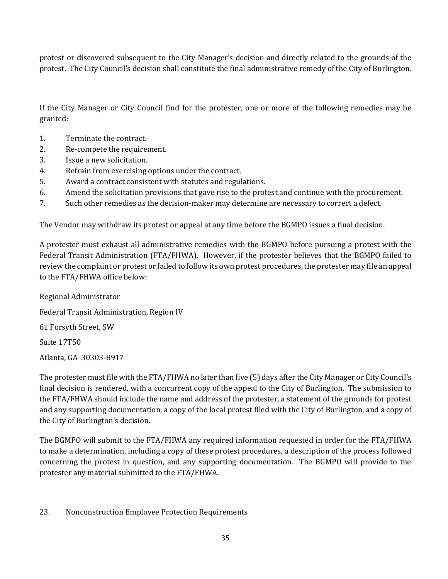protest or discovered subsequent to the City Manager's decision and directly related to the grounds of the protest. The City Council's decision shall constitute the final administrative remedy of the City of Burlington.

If the City Manager or City Council find for the protester, one or more of the following remedies may be granted:

- 1. Terminate the contract.
- 2. Re-compete the requirement.
- 3. Issue a new solicitation.
- 4. Refrain from exercising options under the contract.
- 5. Award a contract consistent with statutes and regulations.
- 6. Amend the solicitation provisions that gave rise to the protest and continue with the procurement.
- 7. Such other remedies as the decision-maker may determine are necessary to correct a defect.

The Vendor may withdraw its protest or appeal at any time before the BGMPO issues a final decision.

A protester must exhaust all administrative remedies with the BGMPO before pursuing a protest with the Federal Transit Administration (FTA/FHWA). However, if the protester believes that the BGMPO failed to review the complaint or protest or failed to follow its own protest procedures, the protester may file an appeal to the FTA/FHWA office below:

Regional Administrator Federal Transit Administration, Region IV 61 Forsyth Street, SW

Suite 17T50

Atlanta, GA 30303-8917

The protester must file with the FTA/FHWA no later than five (5) days after the City Manager or City Council's final decision is rendered, with a concurrent copy of the appeal to the City of Burlington. The submission to the FTA/FHWA should include the name and address of the protester, a statement of the grounds for protest and any supporting documentation, a copy of the local protest filed with the City of Burlington, and a copy of the City of Burlington's decision.

The BGMPO will submit to the FTA/FHWA any required information requested in order for the FTA/FHWA to make a determination, including a copy of these protest procedures, a description of the process followed concerning the protest in question, and any supporting documentation. The BGMPO will provide to the protester any material submitted to the FTA/FHWA.

### 23. Nonconstruction Employee Protection Requirements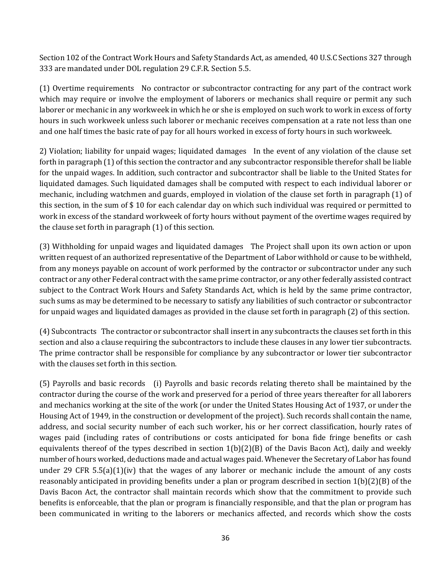Section 102 of the Contract Work Hours and Safety Standards Act, as amended, 40 U.S.C Sections 327 through 333 are mandated under DOL regulation 29 C.F.R. Section 5.5.

(1) Overtime requirements No contractor or subcontractor contracting for any part of the contract work which may require or involve the employment of laborers or mechanics shall require or permit any such laborer or mechanic in any workweek in which he or she is employed on such work to work in excess of forty hours in such workweek unless such laborer or mechanic receives compensation at a rate not less than one and one half times the basic rate of pay for all hours worked in excess of forty hours in such workweek.

2) Violation; liability for unpaid wages; liquidated damages In the event of any violation of the clause set forth in paragraph (1) of this section the contractor and any subcontractor responsible therefor shall be liable for the unpaid wages. In addition, such contractor and subcontractor shall be liable to the United States for liquidated damages. Such liquidated damages shall be computed with respect to each individual laborer or mechanic, including watchmen and guards, employed in violation of the clause set forth in paragraph (1) of this section, in the sum of \$ 10 for each calendar day on which such individual was required or permitted to work in excess of the standard workweek of forty hours without payment of the overtime wages required by the clause set forth in paragraph (1) of this section.

(3) Withholding for unpaid wages and liquidated damages The Project shall upon its own action or upon written request of an authorized representative of the Department of Labor withhold or cause to be withheld, from any moneys payable on account of work performed by the contractor or subcontractor under any such contract or any other Federal contract with the same prime contractor, or any other federally assisted contract subject to the Contract Work Hours and Safety Standards Act, which is held by the same prime contractor, such sums as may be determined to be necessary to satisfy any liabilities of such contractor or subcontractor for unpaid wages and liquidated damages as provided in the clause set forth in paragraph (2) of this section.

(4) Subcontracts The contractor or subcontractor shall insert in any subcontracts the clauses set forth in this section and also a clause requiring the subcontractors to include these clauses in any lower tier subcontracts. The prime contractor shall be responsible for compliance by any subcontractor or lower tier subcontractor with the clauses set forth in this section.

(5) Payrolls and basic records (i) Payrolls and basic records relating thereto shall be maintained by the contractor during the course of the work and preserved for a period of three years thereafter for all laborers and mechanics working at the site of the work (or under the United States Housing Act of 1937, or under the Housing Act of 1949, in the construction or development of the project). Such records shall contain the name, address, and social security number of each such worker, his or her correct classification, hourly rates of wages paid (including rates of contributions or costs anticipated for bona fide fringe benefits or cash equivalents thereof of the types described in section  $1(b)(2)(B)$  of the Davis Bacon Act), daily and weekly number of hours worked, deductions made and actual wages paid. Whenever the Secretary of Labor has found under 29 CFR 5.5(a)(1)(iv) that the wages of any laborer or mechanic include the amount of any costs reasonably anticipated in providing benefits under a plan or program described in section 1(b)(2)(B) of the Davis Bacon Act, the contractor shall maintain records which show that the commitment to provide such benefits is enforceable, that the plan or program is financially responsible, and that the plan or program has been communicated in writing to the laborers or mechanics affected, and records which show the costs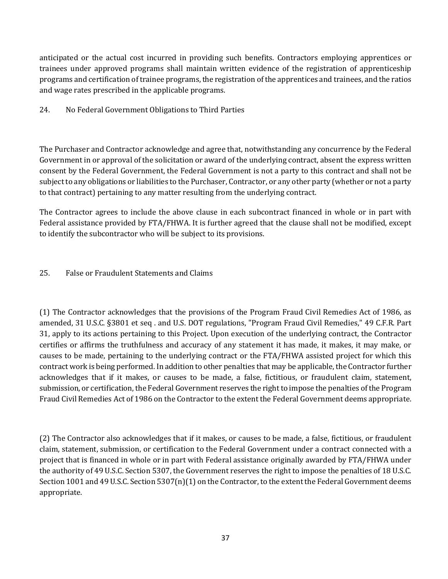anticipated or the actual cost incurred in providing such benefits. Contractors employing apprentices or trainees under approved programs shall maintain written evidence of the registration of apprenticeship programs and certification of trainee programs, the registration of the apprentices and trainees, and the ratios and wage rates prescribed in the applicable programs.

### 24. No Federal Government Obligations to Third Parties

The Purchaser and Contractor acknowledge and agree that, notwithstanding any concurrence by the Federal Government in or approval of the solicitation or award of the underlying contract, absent the express written consent by the Federal Government, the Federal Government is not a party to this contract and shall not be subject to any obligations or liabilities to the Purchaser, Contractor, or any other party (whether or not a party to that contract) pertaining to any matter resulting from the underlying contract.

The Contractor agrees to include the above clause in each subcontract financed in whole or in part with Federal assistance provided by FTA/FHWA. It is further agreed that the clause shall not be modified, except to identify the subcontractor who will be subject to its provisions.

### 25. False or Fraudulent Statements and Claims

(1) The Contractor acknowledges that the provisions of the Program Fraud Civil Remedies Act of 1986, as amended, 31 U.S.C. §3801 et seq . and U.S. DOT regulations, "Program Fraud Civil Remedies," 49 C.F.R. Part 31, apply to its actions pertaining to this Project. Upon execution of the underlying contract, the Contractor certifies or affirms the truthfulness and accuracy of any statement it has made, it makes, it may make, or causes to be made, pertaining to the underlying contract or the FTA/FHWA assisted project for which this contract work is being performed. In addition to other penalties that may be applicable, the Contractor further acknowledges that if it makes, or causes to be made, a false, fictitious, or fraudulent claim, statement, submission, or certification, the Federal Government reserves the right to impose the penalties of the Program Fraud Civil Remedies Act of 1986 on the Contractor to the extent the Federal Government deems appropriate.

(2) The Contractor also acknowledges that if it makes, or causes to be made, a false, fictitious, or fraudulent claim, statement, submission, or certification to the Federal Government under a contract connected with a project that is financed in whole or in part with Federal assistance originally awarded by FTA/FHWA under the authority of 49 U.S.C. Section 5307, the Government reserves the right to impose the penalties of 18 U.S.C. Section 1001 and 49 U.S.C. Section 5307(n)(1) on the Contractor, to the extent the Federal Government deems appropriate.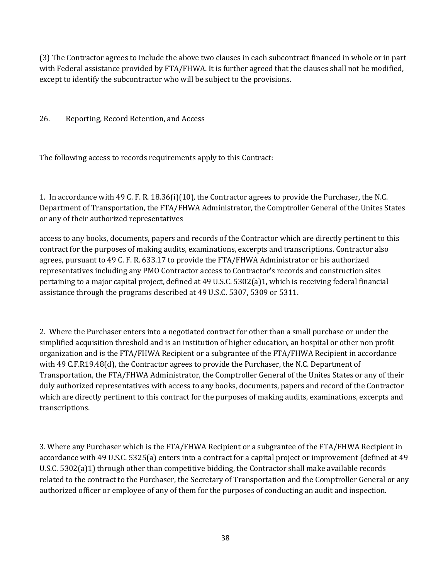(3) The Contractor agrees to include the above two clauses in each subcontract financed in whole or in part with Federal assistance provided by FTA/FHWA. It is further agreed that the clauses shall not be modified, except to identify the subcontractor who will be subject to the provisions.

26. Reporting, Record Retention, and Access

The following access to records requirements apply to this Contract:

1. In accordance with 49 C. F. R. 18.36(i)(10), the Contractor agrees to provide the Purchaser, the N.C. Department of Transportation, the FTA/FHWA Administrator, the Comptroller General of the Unites States or any of their authorized representatives

access to any books, documents, papers and records of the Contractor which are directly pertinent to this contract for the purposes of making audits, examinations, excerpts and transcriptions. Contractor also agrees, pursuant to 49 C. F. R. 633.17 to provide the FTA/FHWA Administrator or his authorized representatives including any PMO Contractor access to Contractor's records and construction sites pertaining to a major capital project, defined at 49 U.S.C. 5302(a)1, which is receiving federal financial assistance through the programs described at 49 U.S.C. 5307, 5309 or 5311.

2. Where the Purchaser enters into a negotiated contract for other than a small purchase or under the simplified acquisition threshold and is an institution of higher education, an hospital or other non profit organization and is the FTA/FHWA Recipient or a subgrantee of the FTA/FHWA Recipient in accordance with 49 C.F.R19.48(d), the Contractor agrees to provide the Purchaser, the N.C. Department of Transportation, the FTA/FHWA Administrator, the Comptroller General of the Unites States or any of their duly authorized representatives with access to any books, documents, papers and record of the Contractor which are directly pertinent to this contract for the purposes of making audits, examinations, excerpts and transcriptions.

3. Where any Purchaser which is the FTA/FHWA Recipient or a subgrantee of the FTA/FHWA Recipient in accordance with 49 U.S.C. 5325(a) enters into a contract for a capital project or improvement (defined at 49 U.S.C. 5302(a)1) through other than competitive bidding, the Contractor shall make available records related to the contract to the Purchaser, the Secretary of Transportation and the Comptroller General or any authorized officer or employee of any of them for the purposes of conducting an audit and inspection.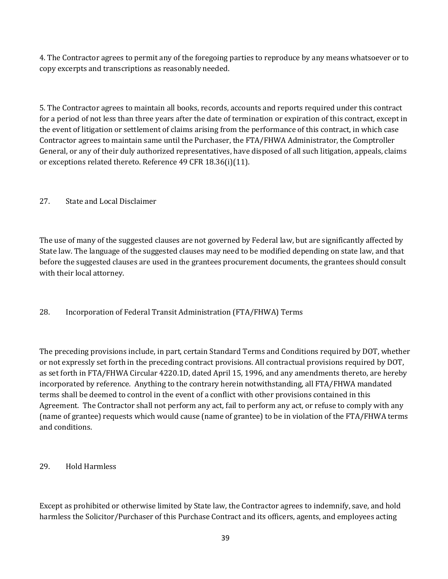4. The Contractor agrees to permit any of the foregoing parties to reproduce by any means whatsoever or to copy excerpts and transcriptions as reasonably needed.

5. The Contractor agrees to maintain all books, records, accounts and reports required under this contract for a period of not less than three years after the date of termination or expiration of this contract, except in the event of litigation or settlement of claims arising from the performance of this contract, in which case Contractor agrees to maintain same until the Purchaser, the FTA/FHWA Administrator, the Comptroller General, or any of their duly authorized representatives, have disposed of all such litigation, appeals, claims or exceptions related thereto. Reference 49 CFR 18.36(i)(11).

# 27. State and Local Disclaimer

The use of many of the suggested clauses are not governed by Federal law, but are significantly affected by State law. The language of the suggested clauses may need to be modified depending on state law, and that before the suggested clauses are used in the grantees procurement documents, the grantees should consult with their local attorney.

# 28. Incorporation of Federal Transit Administration (FTA/FHWA) Terms

The preceding provisions include, in part, certain Standard Terms and Conditions required by DOT, whether or not expressly set forth in the preceding contract provisions. All contractual provisions required by DOT, as set forth in FTA/FHWA Circular 4220.1D, dated April 15, 1996, and any amendments thereto, are hereby incorporated by reference. Anything to the contrary herein notwithstanding, all FTA/FHWA mandated terms shall be deemed to control in the event of a conflict with other provisions contained in this Agreement. The Contractor shall not perform any act, fail to perform any act, or refuse to comply with any (name of grantee) requests which would cause (name of grantee) to be in violation of the FTA/FHWA terms and conditions.

# 29. Hold Harmless

Except as prohibited or otherwise limited by State law, the Contractor agrees to indemnify, save, and hold harmless the Solicitor/Purchaser of this Purchase Contract and its officers, agents, and employees acting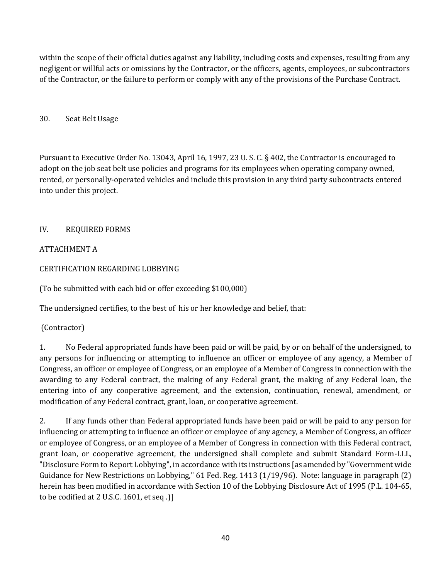within the scope of their official duties against any liability, including costs and expenses, resulting from any negligent or willful acts or omissions by the Contractor, or the officers, agents, employees, or subcontractors of the Contractor, or the failure to perform or comply with any of the provisions of the Purchase Contract.

### 30. Seat Belt Usage

Pursuant to Executive Order No. 13043, April 16, 1997, 23 U. S. C. § 402, the Contractor is encouraged to adopt on the job seat belt use policies and programs for its employees when operating company owned, rented, or personally-operated vehicles and include this provision in any third party subcontracts entered into under this project.

### IV. REQUIRED FORMS

### ATTACHMENT A

### CERTIFICATION REGARDING LOBBYING

(To be submitted with each bid or offer exceeding \$100,000)

The undersigned certifies, to the best of his or her knowledge and belief, that:

### (Contractor)

1. No Federal appropriated funds have been paid or will be paid, by or on behalf of the undersigned, to any persons for influencing or attempting to influence an officer or employee of any agency, a Member of Congress, an officer or employee of Congress, or an employee of a Member of Congress in connection with the awarding to any Federal contract, the making of any Federal grant, the making of any Federal loan, the entering into of any cooperative agreement, and the extension, continuation, renewal, amendment, or modification of any Federal contract, grant, loan, or cooperative agreement.

2. If any funds other than Federal appropriated funds have been paid or will be paid to any person for influencing or attempting to influence an officer or employee of any agency, a Member of Congress, an officer or employee of Congress, or an employee of a Member of Congress in connection with this Federal contract, grant loan, or cooperative agreement, the undersigned shall complete and submit Standard Form-LLL, "Disclosure Form to Report Lobbying", in accordance with its instructions [as amended by "Government wide Guidance for New Restrictions on Lobbying," 61 Fed. Reg. 1413 (1/19/96). Note: language in paragraph (2) herein has been modified in accordance with Section 10 of the Lobbying Disclosure Act of 1995 (P.L. 104-65, to be codified at 2 U.S.C. 1601, et seq .)]